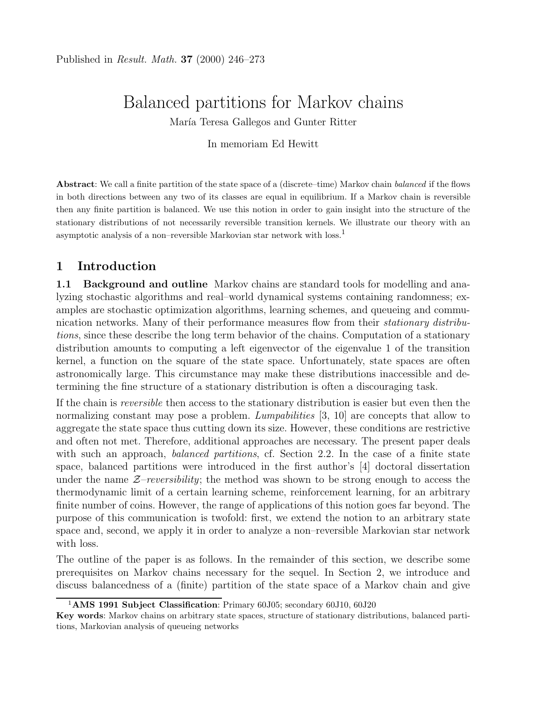# Balanced partitions for Markov chains

María Teresa Gallegos and Gunter Ritter

In memoriam Ed Hewitt

Abstract: We call a finite partition of the state space of a (discrete–time) Markov chain balanced if the flows in both directions between any two of its classes are equal in equilibrium. If a Markov chain is reversible then any finite partition is balanced. We use this notion in order to gain insight into the structure of the stationary distributions of not necessarily reversible transition kernels. We illustrate our theory with an asymptotic analysis of a non–reversible Markovian star network with loss.<sup>1</sup>

# 1 Introduction

1.1 Background and outline Markov chains are standard tools for modelling and analyzing stochastic algorithms and real–world dynamical systems containing randomness; examples are stochastic optimization algorithms, learning schemes, and queueing and communication networks. Many of their performance measures flow from their *stationary distribu*tions, since these describe the long term behavior of the chains. Computation of a stationary distribution amounts to computing a left eigenvector of the eigenvalue 1 of the transition kernel, a function on the square of the state space. Unfortunately, state spaces are often astronomically large. This circumstance may make these distributions inaccessible and determining the fine structure of a stationary distribution is often a discouraging task.

If the chain is reversible then access to the stationary distribution is easier but even then the normalizing constant may pose a problem. *Lumpabilities* [3, 10] are concepts that allow to aggregate the state space thus cutting down its size. However, these conditions are restrictive and often not met. Therefore, additional approaches are necessary. The present paper deals with such an approach, *balanced partitions*, cf. Section 2.2. In the case of a finite state space, balanced partitions were introduced in the first author's [4] doctoral dissertation under the name  $\mathcal{Z}-reversibility$ ; the method was shown to be strong enough to access the thermodynamic limit of a certain learning scheme, reinforcement learning, for an arbitrary finite number of coins. However, the range of applications of this notion goes far beyond. The purpose of this communication is twofold: first, we extend the notion to an arbitrary state space and, second, we apply it in order to analyze a non–reversible Markovian star network with loss.

The outline of the paper is as follows. In the remainder of this section, we describe some prerequisites on Markov chains necessary for the sequel. In Section 2, we introduce and discuss balancedness of a (finite) partition of the state space of a Markov chain and give

<sup>&</sup>lt;sup>1</sup>AMS 1991 Subject Classification: Primary 60J05; secondary 60J10, 60J20

Key words: Markov chains on arbitrary state spaces, structure of stationary distributions, balanced partitions, Markovian analysis of queueing networks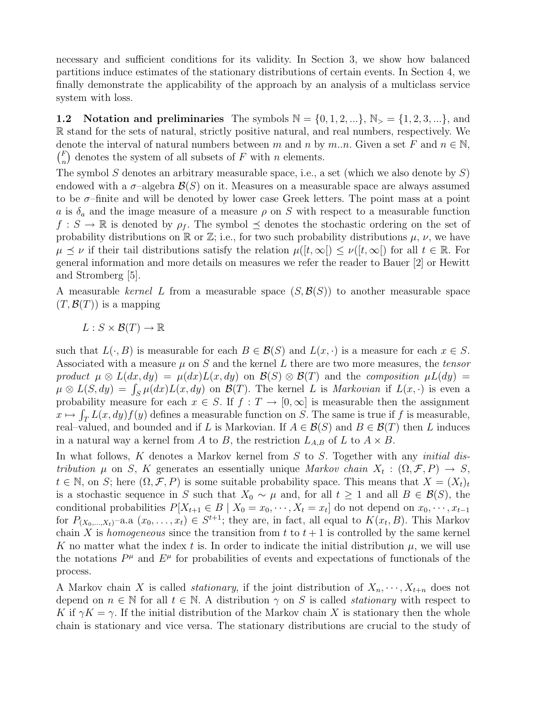necessary and sufficient conditions for its validity. In Section 3, we show how balanced partitions induce estimates of the stationary distributions of certain events. In Section 4, we finally demonstrate the applicability of the approach by an analysis of a multiclass service system with loss.

1.2 Notation and preliminaries The symbols  $\mathbb{N} = \{0, 1, 2, ...\}$ ,  $\mathbb{N}_{>} = \{1, 2, 3, ...\}$ , and R stand for the sets of natural, strictly positive natural, and real numbers, respectively. We denote the interval of natural numbers between m and n by m..n. Given a set F and  $n \in \mathbb{N}$ ,  $\binom{F}{r}$  $\binom{F}{n}$  denotes the system of all subsets of F with n elements.

The symbol S denotes an arbitrary measurable space, i.e., a set (which we also denote by  $S$ ) endowed with a  $\sigma$ -algebra  $\mathcal{B}(S)$  on it. Measures on a measurable space are always assumed to be  $\sigma$ -finite and will be denoted by lower case Greek letters. The point mass at a point a is  $\delta_a$  and the image measure of a measure  $\rho$  on S with respect to a measurable function  $f: S \to \mathbb{R}$  is denoted by  $\rho_f$ . The symbol  $\preceq$  denotes the stochastic ordering on the set of probability distributions on  $\mathbb R$  or  $\mathbb Z$ ; i.e., for two such probability distributions  $\mu$ ,  $\nu$ , we have  $\mu \preceq \nu$  if their tail distributions satisfy the relation  $\mu([t,\infty]) \preceq \nu([t,\infty])$  for all  $t \in \mathbb{R}$ . For general information and more details on measures we refer the reader to Bauer [2] or Hewitt and Stromberg [5].

A measurable kernel L from a measurable space  $(S, \mathcal{B}(S))$  to another measurable space  $(T, \mathcal{B}(T))$  is a mapping

$$
L: S \times \mathcal{B}(T) \to \mathbb{R}
$$

such that  $L(\cdot, B)$  is measurable for each  $B \in \mathcal{B}(S)$  and  $L(x, \cdot)$  is a measure for each  $x \in S$ . Associated with a measure  $\mu$  on S and the kernel L there are two more measures, the tensor product  $\mu \otimes L(dx, dy) = \mu(dx)L(x, dy)$  on  $\mathcal{B}(S) \otimes \mathcal{B}(T)$  and the composition  $\mu L(dy) =$  $\mu \otimes L(S, dy) = \int_S \mu(dx) L(x, dy)$  on  $\mathcal{B}(T)$ . The kernel L is *Markovian* if  $L(x, \cdot)$  is even a probability measure for each  $x \in S$ . If  $f : T \to [0, \infty]$  is measurable then the assignment  $x \mapsto \int_T L(x, dy) f(y)$  defines a measurable function on S. The same is true if f is measurable, real–valued, and bounded and if L is Markovian. If  $A \in \mathcal{B}(S)$  and  $B \in \mathcal{B}(T)$  then L induces in a natural way a kernel from A to B, the restriction  $L_{A,B}$  of L to  $A \times B$ .

In what follows,  $K$  denotes a Markov kernel from  $S$  to  $S$ . Together with any *initial dis*tribution  $\mu$  on S, K generates an essentially unique Markov chain  $X_t: (\Omega, \mathcal{F}, P) \to S$ ,  $t \in \mathbb{N}$ , on S; here  $(\Omega, \mathcal{F}, P)$  is some suitable probability space. This means that  $X = (X_t)_t$ is a stochastic sequence in S such that  $X_0 \sim \mu$  and, for all  $t \geq 1$  and all  $B \in \mathcal{B}(S)$ , the conditional probabilities  $P[X_{t+1} \in B \mid X_0 = x_0, \dots, X_t = x_t]$  do not depend on  $x_0, \dots, x_{t-1}$ for  $P_{(X_0,...,X_t)}$ -a.a  $(x_0,...,x_t) \in S^{t+1}$ ; they are, in fact, all equal to  $K(x_t, B)$ . This Markov chain X is homogeneous since the transition from t to  $t + 1$  is controlled by the same kernel K no matter what the index t is. In order to indicate the initial distribution  $\mu$ , we will use the notations  $P^{\mu}$  and  $E^{\mu}$  for probabilities of events and expectations of functionals of the process.

A Markov chain X is called *stationary*, if the joint distribution of  $X_n, \dots, X_{t+n}$  does not depend on  $n \in \mathbb{N}$  for all  $t \in \mathbb{N}$ . A distribution  $\gamma$  on S is called *stationary* with respect to K if  $\gamma K = \gamma$ . If the initial distribution of the Markov chain X is stationary then the whole chain is stationary and vice versa. The stationary distributions are crucial to the study of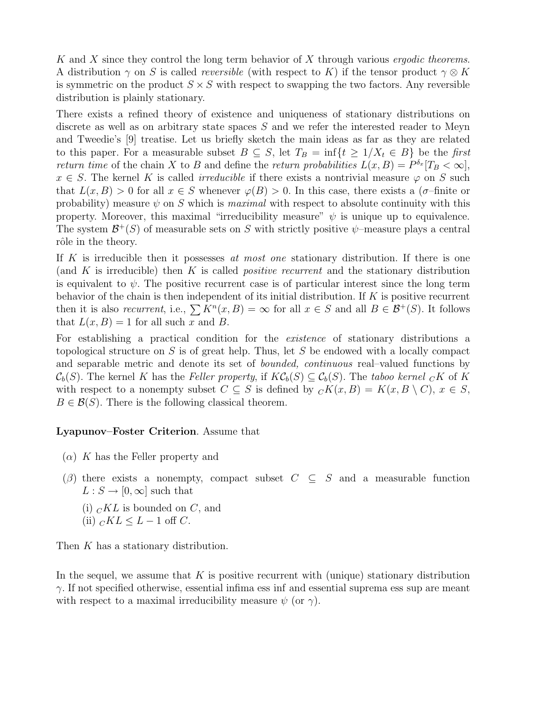K and X since they control the long term behavior of X through various *ergodic theorems*. A distribution  $\gamma$  on S is called *reversible* (with respect to K) if the tensor product  $\gamma \otimes K$ is symmetric on the product  $S \times S$  with respect to swapping the two factors. Any reversible distribution is plainly stationary.

There exists a refined theory of existence and uniqueness of stationary distributions on discrete as well as on arbitrary state spaces S and we refer the interested reader to Meyn and Tweedie's [9] treatise. Let us briefly sketch the main ideas as far as they are related to this paper. For a measurable subset  $B \subseteq S$ , let  $T_B = \inf\{t \geq 1/X_t \in B\}$  be the first return time of the chain X to B and define the return probabilities  $L(x, B) = P^{\delta_x}[T_B < \infty],$  $x \in S$ . The kernel K is called *irreducible* if there exists a nontrivial measure  $\varphi$  on S such that  $L(x, B) > 0$  for all  $x \in S$  whenever  $\varphi(B) > 0$ . In this case, there exists a ( $\sigma$ -finite or probability) measure  $\psi$  on S which is maximal with respect to absolute continuity with this property. Moreover, this maximal "irreducibility measure"  $\psi$  is unique up to equivalence. The system  $\mathcal{B}^+(S)$  of measurable sets on S with strictly positive  $\psi$ -measure plays a central rôle in the theory.

If K is irreducible then it possesses at most one stationary distribution. If there is one (and K is irreducible) then K is called *positive recurrent* and the stationary distribution is equivalent to  $\psi$ . The positive recurrent case is of particular interest since the long term behavior of the chain is then independent of its initial distribution. If  $K$  is positive recurrent then it is also *recurrent*, i.e.,  $\sum K^n(x, B) = \infty$  for all  $x \in S$  and all  $B \in \mathcal{B}^+(S)$ . It follows that  $L(x, B) = 1$  for all such x and B.

For establishing a practical condition for the *existence* of stationary distributions a topological structure on  $S$  is of great help. Thus, let  $S$  be endowed with a locally compact and separable metric and denote its set of bounded, continuous real–valued functions by  $\mathcal{C}_b(S)$ . The kernel K has the Feller property, if  $K\mathcal{C}_b(S) \subseteq \mathcal{C}_b(S)$ . The taboo kernel  $_C K$  of K with respect to a nonempty subset  $C \subseteq S$  is defined by  ${}_C K(x, B) = K(x, B \setminus C), x \in S$ ,  $B \in \mathcal{B}(S)$ . There is the following classical theorem.

#### Lyapunov–Foster Criterion. Assume that

- $(\alpha)$  K has the Feller property and
- $(\beta)$  there exists a nonempty, compact subset  $C \subseteq S$  and a measurable function  $L : S \to [0, \infty]$  such that
	- (i)  $_{C}KL$  is bounded on C, and
	- (ii)  $cKL \leq L-1$  off C.

Then K has a stationary distribution.

In the sequel, we assume that  $K$  is positive recurrent with (unique) stationary distribution  $\gamma$ . If not specified otherwise, essential infima ess inf and essential suprema ess sup are meant with respect to a maximal irreducibility measure  $\psi$  (or  $\gamma$ ).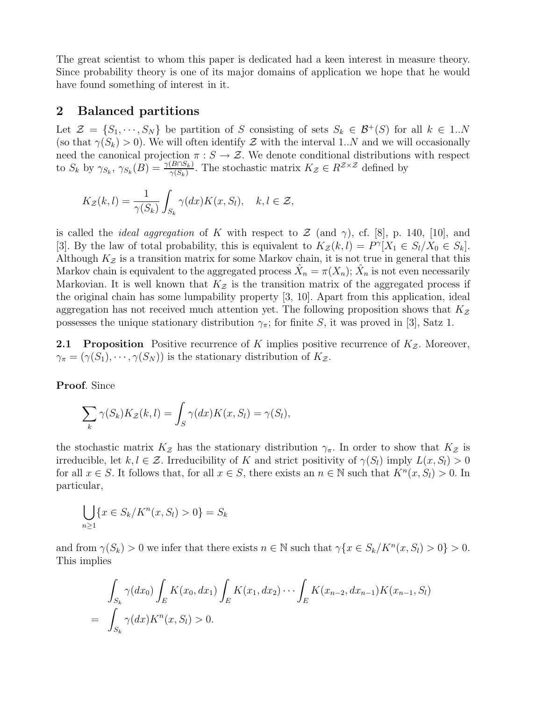The great scientist to whom this paper is dedicated had a keen interest in measure theory. Since probability theory is one of its major domains of application we hope that he would have found something of interest in it.

## 2 Balanced partitions

Let  $\mathcal{Z} = \{S_1, \dots, S_N\}$  be partition of S consisting of sets  $S_k \in \mathcal{B}^+(S)$  for all  $k \in 1..N$ (so that  $\gamma(S_k) > 0$ ). We will often identify Z with the interval 1..N and we will occasionally need the canonical projection  $\pi : S \to \mathcal{Z}$ . We denote conditional distributions with respect to  $S_k$  by  $\gamma_{S_k}, \gamma_{S_k}(B) = \frac{\gamma(B \cap S_k)}{\gamma(S_k)}$ . The stochastic matrix  $K_z \in R^{\mathcal{Z} \times \mathcal{Z}}$  defined by

$$
K_{\mathcal{Z}}(k,l) = \frac{1}{\gamma(S_k)} \int_{S_k} \gamma(dx) K(x, S_l), \quad k, l \in \mathcal{Z},
$$

is called the *ideal aggregation* of K with respect to  $\mathcal{Z}$  (and  $\gamma$ ), cf. [8], p. 140, [10], and [3]. By the law of total probability, this is equivalent to  $K_z(k, l) = P^{\gamma}[X_1 \in S_l | X_0 \in S_k].$ Although  $K_{\mathcal{Z}}$  is a transition matrix for some Markov chain, it is not true in general that this Markov chain is equivalent to the aggregated process  $\hat{X}_n = \pi(X_n)$ ;  $\hat{X}_n$  is not even necessarily Markovian. It is well known that  $K_z$  is the transition matrix of the aggregated process if the original chain has some lumpability property [3, 10]. Apart from this application, ideal aggregation has not received much attention yet. The following proposition shows that  $K_z$ possesses the unique stationary distribution  $\gamma_{\pi}$ ; for finite S, it was proved in [3], Satz 1.

**2.1 Proposition** Positive recurrence of K implies positive recurrence of  $K_z$ . Moreover,  $\gamma_{\pi} = (\gamma(S_1), \cdots, \gamma(S_N))$  is the stationary distribution of  $K_{\mathcal{Z}}$ .

Proof. Since

$$
\sum_{k} \gamma(S_k) K_{\mathcal{Z}}(k, l) = \int_{S} \gamma(dx) K(x, S_l) = \gamma(S_l),
$$

the stochastic matrix  $K_z$  has the stationary distribution  $\gamma_{\pi}$ . In order to show that  $K_z$  is irreducible, let  $k, l \in \mathcal{Z}$ . Irreducibility of K and strict positivity of  $\gamma(S_l)$  imply  $L(x, S_l) > 0$ for all  $x \in S$ . It follows that, for all  $x \in S$ , there exists an  $n \in \mathbb{N}$  such that  $K^{n}(x, S_{l}) > 0$ . In particular,

$$
\bigcup_{n\geq 1} \{x \in S_k / K^n(x, S_l) > 0\} = S_k
$$

and from  $\gamma(S_k) > 0$  we infer that there exists  $n \in \mathbb{N}$  such that  $\gamma\{x \in S_k / K^n(x, S_l) > 0\} > 0$ . This implies

$$
\int_{S_k} \gamma(dx_0) \int_E K(x_0, dx_1) \int_E K(x_1, dx_2) \cdots \int_E K(x_{n-2}, dx_{n-1}) K(x_{n-1}, S_l)
$$
\n
$$
= \int_{S_k} \gamma(dx) K^n(x, S_l) > 0.
$$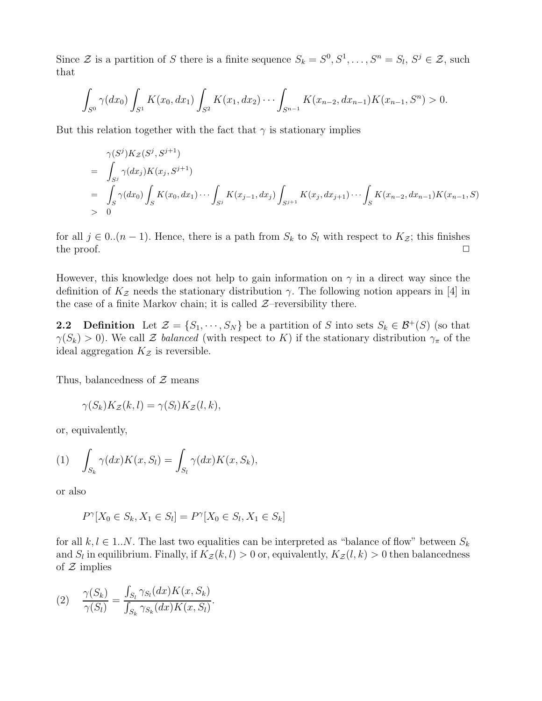Since  $\mathcal{Z}$  is a partition of S there is a finite sequence  $S_k = S^0, S^1, \ldots, S^n = S_l, S^j \in \mathcal{Z}$ , such that

$$
\int_{S^0} \gamma(dx_0) \int_{S^1} K(x_0, dx_1) \int_{S^2} K(x_1, dx_2) \cdots \int_{S^{n-1}} K(x_{n-2}, dx_{n-1}) K(x_{n-1}, S^n) > 0.
$$

But this relation together with the fact that  $\gamma$  is stationary implies

$$
\gamma(S^j)K_Z(S^j, S^{j+1})
$$
\n
$$
= \int_{S^j} \gamma(dx_j)K(x_j, S^{j+1})
$$
\n
$$
= \int_S \gamma(dx_0) \int_S K(x_0, dx_1) \cdots \int_{S^j} K(x_{j-1}, dx_j) \int_{S^{j+1}} K(x_j, dx_{j+1}) \cdots \int_S K(x_{n-2}, dx_{n-1})K(x_{n-1}, S)
$$
\n
$$
> 0
$$

for all  $j \in 0..(n-1)$ . Hence, there is a path from  $S_k$  to  $S_l$  with respect to  $K_{\mathcal{Z}}$ ; this finishes the proof.  $\Box$ 

However, this knowledge does not help to gain information on  $\gamma$  in a direct way since the definition of  $K_z$  needs the stationary distribution  $\gamma$ . The following notion appears in [4] in the case of a finite Markov chain; it is called  $Z$ –reversibility there.

**2.2 Definition** Let  $\mathcal{Z} = \{S_1, \dots, S_N\}$  be a partition of S into sets  $S_k \in \mathcal{B}^+(S)$  (so that  $\gamma(S_k) > 0$ ). We call Z balanced (with respect to K) if the stationary distribution  $\gamma_\pi$  of the ideal aggregation  $K_z$  is reversible.

Thus, balancedness of  $\mathcal Z$  means

$$
\gamma(S_k)K_{\mathcal{Z}}(k,l) = \gamma(S_l)K_{\mathcal{Z}}(l,k),
$$

or, equivalently,

$$
(1) \quad \int_{S_k} \gamma(dx)K(x, S_l) = \int_{S_l} \gamma(dx)K(x, S_k),
$$

or also

 $P^{\gamma}[X_0 \in S_k, X_1 \in S_l] = P^{\gamma}[X_0 \in S_l, X_1 \in S_k]$ 

for all  $k, l \in 1..N$ . The last two equalities can be interpreted as "balance of flow" between  $S_k$ and  $S_l$  in equilibrium. Finally, if  $K_\mathcal{Z}(k,l)>0$  or, equivalently,  $K_\mathcal{Z}(l,k)>0$  then balancedness of  $\mathcal Z$  implies

(2) 
$$
\frac{\gamma(S_k)}{\gamma(S_l)} = \frac{\int_{S_l} \gamma_{S_l}(dx) K(x, S_k)}{\int_{S_k} \gamma_{S_k}(dx) K(x, S_l)}.
$$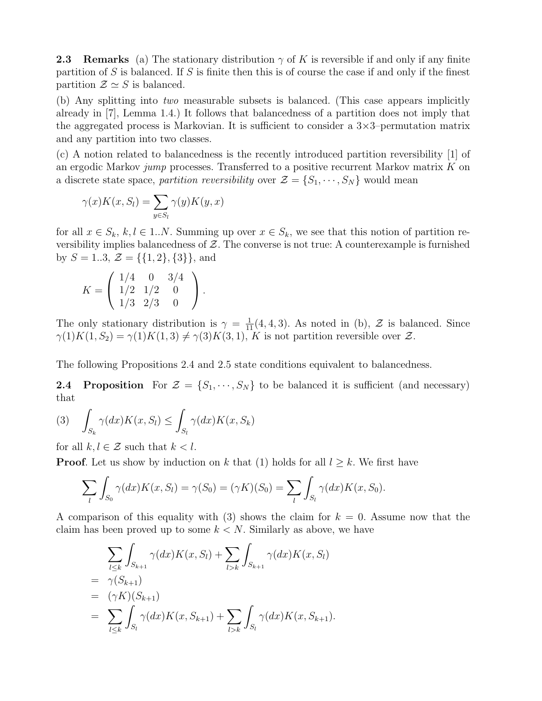**2.3** Remarks (a) The stationary distribution  $\gamma$  of K is reversible if and only if any finite partition of  $S$  is balanced. If  $S$  is finite then this is of course the case if and only if the finest partition  $\mathcal{Z} \simeq S$  is balanced.

(b) Any splitting into two measurable subsets is balanced. (This case appears implicitly already in [7], Lemma 1.4.) It follows that balancedness of a partition does not imply that the aggregated process is Markovian. It is sufficient to consider a  $3\times3$ -permutation matrix and any partition into two classes.

(c) A notion related to balancedness is the recently introduced partition reversibility [1] of an ergodic Markov jump processes. Transferred to a positive recurrent Markov matrix  $K$  on a discrete state space, partition reversibility over  $\mathcal{Z} = \{S_1, \dots, S_N\}$  would mean

$$
\gamma(x)K(x, S_l) = \sum_{y \in S_l} \gamma(y)K(y, x)
$$

for all  $x \in S_k$ ,  $k, l \in 1..N$ . Summing up over  $x \in S_k$ , we see that this notion of partition reversibility implies balancedness of  $Z$ . The converse is not true: A counterexample is furnished by  $S = 1..3$ ,  $\mathcal{Z} = \{\{1,2\},\{3\}\}\$ , and

$$
K = \left(\begin{array}{ccc} 1/4 & 0 & 3/4 \\ 1/2 & 1/2 & 0 \\ 1/3 & 2/3 & 0 \end{array}\right).
$$

The only stationary distribution is  $\gamma = \frac{1}{11}(4, 4, 3)$ . As noted in (b),  $\mathcal{Z}$  is balanced. Since  $\gamma(1)K(1, S_2) = \gamma(1)K(1, 3) \neq \gamma(3)K(3, 1),$  K is not partition reversible over Z.

The following Propositions 2.4 and 2.5 state conditions equivalent to balancedness.

**2.4 Proposition** For  $\mathcal{Z} = \{S_1, \dots, S_N\}$  to be balanced it is sufficient (and necessary) that

$$
(3) \quad \int_{S_k} \gamma(dx)K(x, S_l) \le \int_{S_l} \gamma(dx)K(x, S_k)
$$

for all  $k, l \in \mathcal{Z}$  such that  $k < l$ .

**Proof.** Let us show by induction on k that (1) holds for all  $l \geq k$ . We first have

$$
\sum_{l} \int_{S_0} \gamma(dx) K(x, S_l) = \gamma(S_0) = (\gamma K)(S_0) = \sum_{l} \int_{S_l} \gamma(dx) K(x, S_0).
$$

A comparison of this equality with (3) shows the claim for  $k = 0$ . Assume now that the claim has been proved up to some  $k < N$ . Similarly as above, we have

$$
\sum_{l \leq k} \int_{S_{k+1}} \gamma(dx) K(x, S_l) + \sum_{l > k} \int_{S_{k+1}} \gamma(dx) K(x, S_l)
$$
  
=  $\gamma(S_{k+1})$   
=  $(\gamma K)(S_{k+1})$   
=  $\sum_{l \leq k} \int_{S_l} \gamma(dx) K(x, S_{k+1}) + \sum_{l > k} \int_{S_l} \gamma(dx) K(x, S_{k+1}).$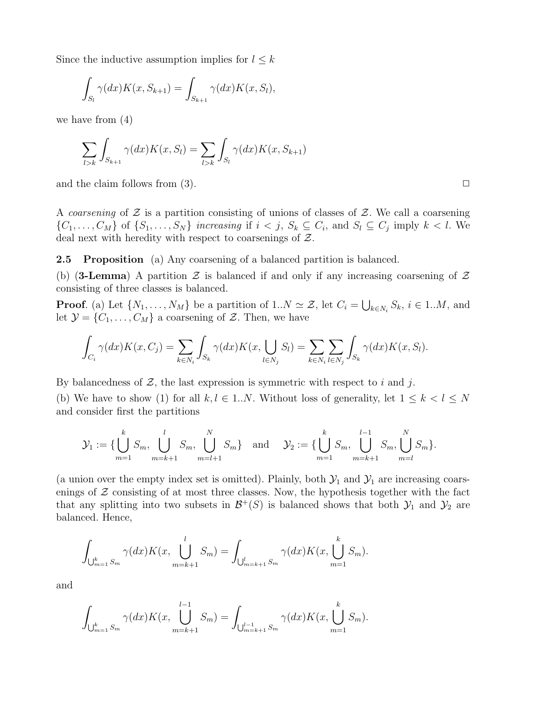Since the inductive assumption implies for  $l \leq k$ 

$$
\int_{S_l} \gamma(dx)K(x, S_{k+1}) = \int_{S_{k+1}} \gamma(dx)K(x, S_l),
$$

we have from (4)

$$
\sum_{l>k}\int_{S_{k+1}}\gamma(dx)K(x,S_l)=\sum_{l>k}\int_{S_l}\gamma(dx)K(x,S_{k+1})
$$

and the claim follows from (3).  $\Box$ 

A coarsening of  $\mathcal Z$  is a partition consisting of unions of classes of  $\mathcal Z$ . We call a coarsening  $\{C_1,\ldots,C_M\}$  of  $\{S_1,\ldots,S_N\}$  increasing if  $i < j$ ,  $S_k \subseteq C_i$ , and  $S_l \subseteq C_j$  imply  $k < l$ . We deal next with heredity with respect to coarsenings of  $\mathcal{Z}$ .

2.5 Proposition (a) Any coarsening of a balanced partition is balanced.

(b) (3-Lemma) A partition  $\mathcal Z$  is balanced if and only if any increasing coarsening of  $\mathcal Z$ consisting of three classes is balanced.

**Proof.** (a) Let  $\{N_1, \ldots, N_M\}$  be a partition of  $1..N \simeq \mathcal{Z}$ , let  $C_i = \bigcup_{k \in N_i} S_k$ ,  $i \in 1..M$ , and let  $\mathcal{Y} = \{C_1, \ldots, C_M\}$  a coarsening of  $\mathcal{Z}$ . Then, we have

$$
\int_{C_i} \gamma(dx)K(x, C_j) = \sum_{k \in N_i} \int_{S_k} \gamma(dx)K(x, \bigcup_{l \in N_j} S_l) = \sum_{k \in N_i} \sum_{l \in N_j} \int_{S_k} \gamma(dx)K(x, S_l).
$$

By balancedness of  $\mathcal{Z}$ , the last expression is symmetric with respect to i and j.

(b) We have to show (1) for all  $k, l \in 1..N$ . Without loss of generality, let  $1 \leq k < l \leq N$ and consider first the partitions

$$
\mathcal{Y}_1 := \{ \bigcup_{m=1}^k S_m, \bigcup_{m=k+1}^l S_m, \bigcup_{m=l+1}^N S_m \} \text{ and } \mathcal{Y}_2 := \{ \bigcup_{m=1}^k S_m, \bigcup_{m=k+1}^{l-1} S_m, \bigcup_{m=l}^N S_m \}.
$$

(a union over the empty index set is omitted). Plainly, both  $\mathcal{Y}_1$  and  $\mathcal{Y}_1$  are increasing coarsenings of  $\mathcal Z$  consisting of at most three classes. Now, the hypothesis together with the fact that any splitting into two subsets in  $\mathcal{B}^+(S)$  is balanced shows that both  $\mathcal{Y}_1$  and  $\mathcal{Y}_2$  are balanced. Hence,

$$
\int_{\bigcup_{m=1}^{k} S_m} \gamma(dx) K(x, \bigcup_{m=k+1}^{l} S_m) = \int_{\bigcup_{m=k+1}^{l} S_m} \gamma(dx) K(x, \bigcup_{m=1}^{k} S_m).
$$

and

$$
\int_{\bigcup_{m=1}^k S_m} \gamma(dx) K(x, \bigcup_{m=k+1}^{l-1} S_m) = \int_{\bigcup_{m=k+1}^{l-1} S_m} \gamma(dx) K(x, \bigcup_{m=1}^k S_m).
$$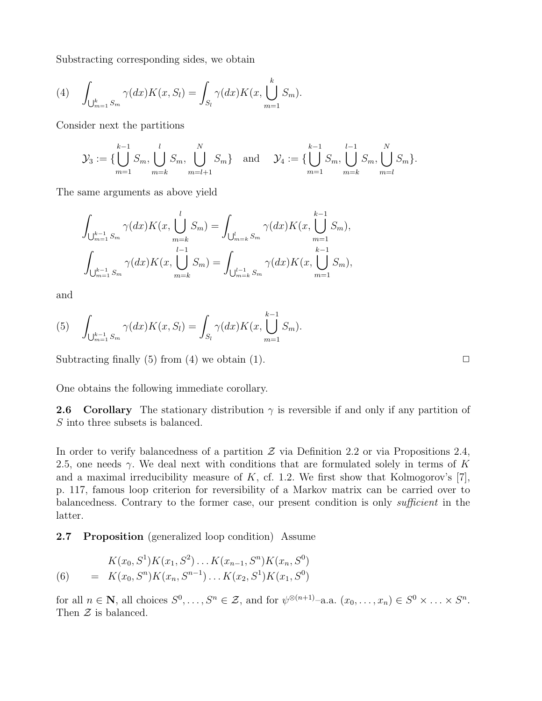Substracting corresponding sides, we obtain

(4) 
$$
\int_{\bigcup_{m=1}^k S_m} \gamma(dx) K(x, S_l) = \int_{S_l} \gamma(dx) K(x, \bigcup_{m=1}^k S_m).
$$

Consider next the partitions

$$
\mathcal{Y}_3 := \{ \bigcup_{m=1}^{k-1} S_m, \bigcup_{m=k}^{l} S_m, \bigcup_{m=l+1}^{N} S_m \} \text{ and } \mathcal{Y}_4 := \{ \bigcup_{m=1}^{k-1} S_m, \bigcup_{m=k}^{l-1} S_m, \bigcup_{m=l}^{N} S_m \}.
$$

The same arguments as above yield

$$
\int_{\bigcup_{m=1}^{k-1} S_m} \gamma(dx) K(x, \bigcup_{m=k}^{l} S_m) = \int_{\bigcup_{m=k}^{l} S_m} \gamma(dx) K(x, \bigcup_{m=1}^{k-1} S_m),
$$
  

$$
\int_{\bigcup_{m=1}^{k-1} S_m} \gamma(dx) K(x, \bigcup_{m=k}^{l-1} S_m) = \int_{\bigcup_{m=k}^{l-1} S_m} \gamma(dx) K(x, \bigcup_{m=1}^{k-1} S_m),
$$

and

(5) 
$$
\int_{\bigcup_{m=1}^{k-1} S_m} \gamma(dx) K(x, S_l) = \int_{S_l} \gamma(dx) K(x, \bigcup_{m=1}^{k-1} S_m).
$$

Subtracting finally  $(5)$  from  $(4)$  we obtain  $(1)$ .

One obtains the following immediate corollary.

**2.6 Corollary** The stationary distribution  $\gamma$  is reversible if and only if any partition of S into three subsets is balanced.

In order to verify balancedness of a partition  $\mathcal Z$  via Definition 2.2 or via Propositions 2.4, 2.5, one needs  $\gamma$ . We deal next with conditions that are formulated solely in terms of K and a maximal irreducibility measure of  $K$ , cf. 1.2. We first show that Kolmogorov's [7], p. 117, famous loop criterion for reversibility of a Markov matrix can be carried over to balancedness. Contrary to the former case, our present condition is only sufficient in the latter.

2.7 Proposition (generalized loop condition) Assume

(6) 
$$
K(x_0, S^1)K(x_1, S^2)\dots K(x_{n-1}, S^n)K(x_n, S^0)
$$

$$
= K(x_0, S^n)K(x_n, S^{n-1})\dots K(x_2, S^1)K(x_1, S^0)
$$

for all  $n \in \mathbb{N}$ , all choices  $S^0, \ldots, S^n \in \mathcal{Z}$ , and for  $\psi^{\otimes (n+1)}$ -a.a.  $(x_0, \ldots, x_n) \in S^0 \times \ldots \times S^n$ . Then  $\mathcal Z$  is balanced.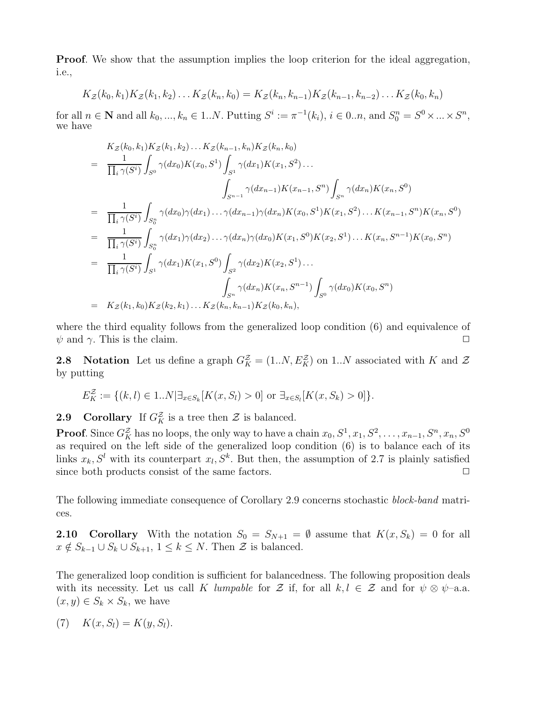**Proof.** We show that the assumption implies the loop criterion for the ideal aggregation, i.e.,

$$
K_{\mathcal{Z}}(k_0,k_1)K_{\mathcal{Z}}(k_1,k_2)\ldots K_{\mathcal{Z}}(k_n,k_0)=K_{\mathcal{Z}}(k_n,k_{n-1})K_{\mathcal{Z}}(k_{n-1},k_{n-2})\ldots K_{\mathcal{Z}}(k_0,k_n)
$$

for all  $n \in \mathbb{N}$  and all  $k_0, ..., k_n \in 1..N$ . Putting  $S^i := \pi^{-1}(k_i)$ ,  $i \in 0..n$ , and  $S_0^n = S^0 \times ... \times S^n$ , we have

$$
K_Z(k_0, k_1) K_Z(k_1, k_2) \dots K_Z(k_{n-1}, k_n) K_Z(k_n, k_0)
$$
  
\n
$$
= \frac{1}{\prod_i \gamma(S^i)} \int_{S^0} \gamma(dx_0) K(x_0, S^1) \int_{S^1} \gamma(dx_1) K(x_1, S^2) \dots
$$
  
\n
$$
\int_{S^{n-1}} \gamma(dx_{n-1}) K(x_{n-1}, S^n) \int_{S^n} \gamma(dx_n) K(x_n, S^0)
$$
  
\n
$$
= \frac{1}{\prod_i \gamma(S^i)} \int_{S_0^n} \gamma(dx_0) \gamma(dx_1) \dots \gamma(dx_{n-1}) \gamma(dx_n) K(x_0, S^1) K(x_1, S^2) \dots K(x_{n-1}, S^n) K(x_n, S^0)
$$
  
\n
$$
= \frac{1}{\prod_i \gamma(S^i)} \int_{S_0^n} \gamma(dx_1) \gamma(dx_2) \dots \gamma(dx_n) \gamma(dx_0) K(x_1, S^0) K(x_2, S^1) \dots K(x_n, S^{n-1}) K(x_0, S^n)
$$
  
\n
$$
= \frac{1}{\prod_i \gamma(S^i)} \int_{S^1} \gamma(dx_1) K(x_1, S^0) \int_{S^2} \gamma(dx_2) K(x_2, S^1) \dots
$$
  
\n
$$
\int_{S^n} \gamma(dx_n) K(x_n, S^{n-1}) \int_{S^0} \gamma(dx_0) K(x_0, S^n)
$$
  
\n
$$
= K_Z(k_1, k_0) K_Z(k_2, k_1) \dots K_Z(k_n, k_{n-1}) K_Z(k_0, k_n),
$$

where the third equality follows from the generalized loop condition (6) and equivalence of  $\psi$  and  $\gamma$ . This is the claim.  $\Box$ 

**2.8** Notation Let us define a graph  $G_K^{\mathcal{Z}} = (1..N, E_K^{\mathcal{Z}})$  on 1..N associated with K and  $\mathcal{Z}$ by putting

$$
E_K^{\mathcal{Z}} := \{ (k, l) \in 1..N | \exists_{x \in S_k} [K(x, S_l) > 0] \text{ or } \exists_{x \in S_l} [K(x, S_k) > 0] \}.
$$

**2.9** Corollary If  $G_K^{\mathcal{Z}}$  is a tree then  $\mathcal{Z}$  is balanced.

**Proof.** Since  $G_K^{\mathcal{Z}}$  has no loops, the only way to have a chain  $x_0, S^1, x_1, S^2, \ldots, x_{n-1}, S^n, x_n, S^0$ as required on the left side of the generalized loop condition (6) is to balance each of its links  $x_k$ ,  $S^l$  with its counterpart  $x_l$ ,  $S^k$ . But then, the assumption of 2.7 is plainly satisfied since both products consist of the same factors.  $\Box$ 

The following immediate consequence of Corollary 2.9 concerns stochastic block-band matrices.

**2.10 Corollary** With the notation  $S_0 = S_{N+1} = \emptyset$  assume that  $K(x, S_k) = 0$  for all  $x \notin S_{k-1} \cup S_k \cup S_{k+1}, 1 \leq k \leq N$ . Then  $\mathcal Z$  is balanced.

The generalized loop condition is sufficient for balancedness. The following proposition deals with its necessity. Let us call K lumpable for Z if, for all  $k, l \in \mathcal{Z}$  and for  $\psi \otimes \psi$ -a.a.  $(x, y) \in S_k \times S_k$ , we have

$$
(7) \quad K(x, S_l) = K(y, S_l).
$$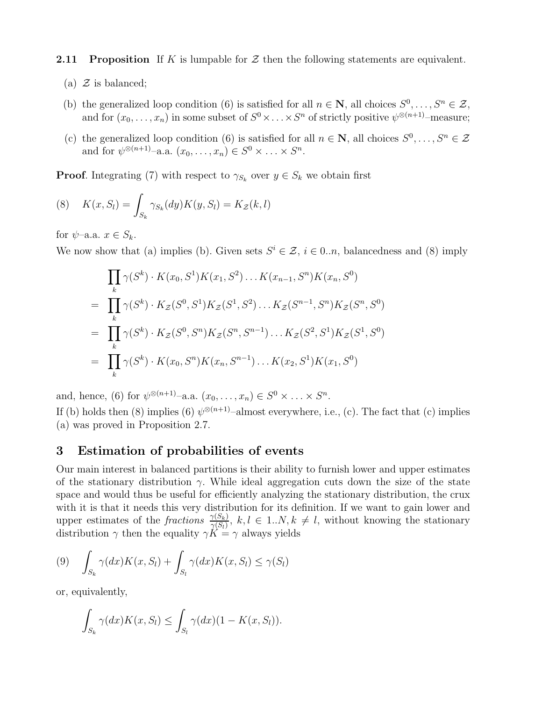**2.11 Proposition** If K is lumpable for  $\mathcal{Z}$  then the following statements are equivalent.

- (a)  $\mathcal{Z}$  is balanced;
- (b) the generalized loop condition (6) is satisfied for all  $n \in \mathbb{N}$ , all choices  $S^0, \ldots, S^n \in \mathcal{Z}$ , and for  $(x_0, \ldots, x_n)$  in some subset of  $S^0 \times \ldots \times S^n$  of strictly positive  $\psi^{\otimes (n+1)}$ -measure;
- (c) the generalized loop condition (6) is satisfied for all  $n \in \mathbb{N}$ , all choices  $S^0, \ldots, S^n \in \mathcal{Z}$ and for  $\psi^{\otimes (n+1)}$ -a.a.  $(x_0, \ldots, x_n) \in S^0 \times \ldots \times S^n$ .

**Proof.** Integrating (7) with respect to  $\gamma_{S_k}$  over  $y \in S_k$  we obtain first

(8) 
$$
K(x, S_l) = \int_{S_k} \gamma_{S_k}(dy) K(y, S_l) = K_{\mathcal{Z}}(k, l)
$$

for  $\psi$ -a.a.  $x \in S_k$ .

We now show that (a) implies (b). Given sets  $S^i \in \mathcal{Z}, i \in \{0..n\}$ , balancedness and (8) imply

$$
\prod_{k} \gamma(S^{k}) \cdot K(x_{0}, S^{1}) K(x_{1}, S^{2}) \dots K(x_{n-1}, S^{n}) K(x_{n}, S^{0})
$$
\n
$$
= \prod_{k} \gamma(S^{k}) \cdot K_{\mathcal{Z}}(S^{0}, S^{1}) K_{\mathcal{Z}}(S^{1}, S^{2}) \dots K_{\mathcal{Z}}(S^{n-1}, S^{n}) K_{\mathcal{Z}}(S^{n}, S^{0})
$$
\n
$$
= \prod_{k} \gamma(S^{k}) \cdot K_{\mathcal{Z}}(S^{0}, S^{n}) K_{\mathcal{Z}}(S^{n}, S^{n-1}) \dots K_{\mathcal{Z}}(S^{2}, S^{1}) K_{\mathcal{Z}}(S^{1}, S^{0})
$$
\n
$$
= \prod_{k} \gamma(S^{k}) \cdot K(x_{0}, S^{n}) K(x_{n}, S^{n-1}) \dots K(x_{2}, S^{1}) K(x_{1}, S^{0})
$$

and, hence, (6) for  $\psi^{\otimes (n+1)}$ -a.a.  $(x_0, \ldots, x_n) \in S^0 \times \ldots \times S^n$ .

If (b) holds then (8) implies (6)  $\psi^{\otimes (n+1)}$ -almost everywhere, i.e., (c). The fact that (c) implies (a) was proved in Proposition 2.7.

## 3 Estimation of probabilities of events

Our main interest in balanced partitions is their ability to furnish lower and upper estimates of the stationary distribution  $\gamma$ . While ideal aggregation cuts down the size of the state space and would thus be useful for efficiently analyzing the stationary distribution, the crux with it is that it needs this very distribution for its definition. If we want to gain lower and upper estimates of the fractions  $\frac{\gamma(S_k)}{\gamma(S_l)}$ ,  $k, l \in 1..N, k \neq l$ , without knowing the stationary distribution  $\gamma$  then the equality  $\gamma K = \gamma$  always yields

$$
(9) \quad \int_{S_k} \gamma(dx)K(x, S_l) + \int_{S_l} \gamma(dx)K(x, S_l) \leq \gamma(S_l)
$$

or, equivalently,

$$
\int_{S_k} \gamma(dx)K(x, S_l) \leq \int_{S_l} \gamma(dx) (1 - K(x, S_l)).
$$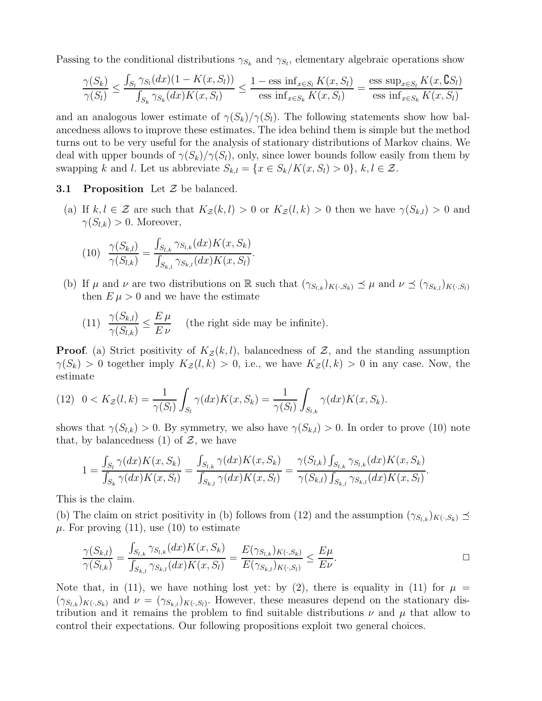Passing to the conditional distributions  $\gamma_{S_k}$  and  $\gamma_{S_l}$ , elementary algebraic operations show

$$
\frac{\gamma(S_k)}{\gamma(S_l)} \le \frac{\int_{S_l} \gamma_{S_l}(dx)(1 - K(x, S_l))}{\int_{S_k} \gamma_{S_k}(dx)K(x, S_l)} \le \frac{1 - \text{ess inf}_{x \in S_l} K(x, S_l)}{\text{ess inf}_{x \in S_k} K(x, S_l)} = \frac{\text{ess sup}_{x \in S_l} K(x, S_l)}{\text{ess inf}_{x \in S_k} K(x, S_l)}
$$

and an analogous lower estimate of  $\gamma(S_k)/\gamma(S_l)$ . The following statements show how balancedness allows to improve these estimates. The idea behind them is simple but the method turns out to be very useful for the analysis of stationary distributions of Markov chains. We deal with upper bounds of  $\gamma(S_k)/\gamma(S_l)$ , only, since lower bounds follow easily from them by swapping k and l. Let us abbreviate  $S_{k,l} = \{x \in S_k / K(x, S_l) > 0\}, k, l \in \mathcal{Z}$ .

#### **3.1 Proposition** Let  $\mathcal{Z}$  be balanced.

(a) If  $k, l \in \mathcal{Z}$  are such that  $K_{\mathcal{Z}}(k, l) > 0$  or  $K_{\mathcal{Z}}(l, k) > 0$  then we have  $\gamma(S_{k,l}) > 0$  and  $\gamma(S_{l,k}) > 0$ . Moreover,

(10) 
$$
\frac{\gamma(S_{k,l})}{\gamma(S_{l,k})} = \frac{\int_{S_{l,k}} \gamma_{S_{l,k}}(dx) K(x, S_k)}{\int_{S_{k,l}} \gamma_{S_{k,l}}(dx) K(x, S_l)}.
$$

(b) If  $\mu$  and  $\nu$  are two distributions on R such that  $(\gamma_{S_{l,k}})_{K(\cdot,S_k)} \preceq \mu$  and  $\nu \preceq (\gamma_{S_{k,l}})_{K(\cdot,S_l)}$ then  $E \mu > 0$  and we have the estimate

(11) 
$$
\frac{\gamma(S_{k,l})}{\gamma(S_{l,k})} \leq \frac{E \mu}{E \nu}
$$
 (the right side may be infinite).

**Proof.** (a) Strict positivity of  $K_z(k, l)$ , balancedness of  $\mathcal{Z}$ , and the standing assumption  $\gamma(S_k) > 0$  together imply  $K_z(l, k) > 0$ , i.e., we have  $K_z(l, k) > 0$  in any case. Now, the estimate

(12) 
$$
0 < K_{\mathcal{Z}}(l,k) = \frac{1}{\gamma(S_l)} \int_{S_l} \gamma(dx) K(x, S_k) = \frac{1}{\gamma(S_l)} \int_{S_{l,k}} \gamma(dx) K(x, S_k).
$$

shows that  $\gamma(S_{l,k}) > 0$ . By symmetry, we also have  $\gamma(S_{k,l}) > 0$ . In order to prove (10) note that, by balancedness (1) of  $\mathcal{Z}$ , we have

$$
1 = \frac{\int_{S_l} \gamma(dx) K(x, S_k)}{\int_{S_k} \gamma(dx) K(x, S_l)} = \frac{\int_{S_{l,k}} \gamma(dx) K(x, S_k)}{\int_{S_{k,l}} \gamma(dx) K(x, S_l)} = \frac{\gamma(S_{l,k}) \int_{S_{l,k}} \gamma_{S_{l,k}}(dx) K(x, S_k)}{\gamma(S_{k,l}) \int_{S_{k,l}} \gamma_{S_{k,l}}(dx) K(x, S_l)}
$$

This is the claim.

(b) The claim on strict positivity in (b) follows from (12) and the assumption  $(\gamma_{S_{l,k}})_{K(\cdot,S_k)} \preceq$  $\mu$ . For proving (11), use (10) to estimate

$$
\frac{\gamma(S_{k,l})}{\gamma(S_{l,k})} = \frac{\int_{S_{l,k}} \gamma_{S_{l,k}}(dx)K(x, S_k)}{\int_{S_{k,l}} \gamma_{S_{k,l}}(dx)K(x, S_l)} = \frac{E(\gamma_{S_{l,k}})_{K(\cdot, S_k)}}{E(\gamma_{S_{k,l}})_{K(\cdot, S_l)}} \le \frac{E\mu}{E\nu}.
$$

.

Note that, in (11), we have nothing lost yet: by (2), there is equality in (11) for  $\mu =$  $(\gamma_{S_{l,k}})_{K(\cdot,S_k)}$  and  $\nu = (\gamma_{S_{k,l}})_{K(\cdot,S_l)}$ . However, these measures depend on the stationary distribution and it remains the problem to find suitable distributions  $\nu$  and  $\mu$  that allow to control their expectations. Our following propositions exploit two general choices.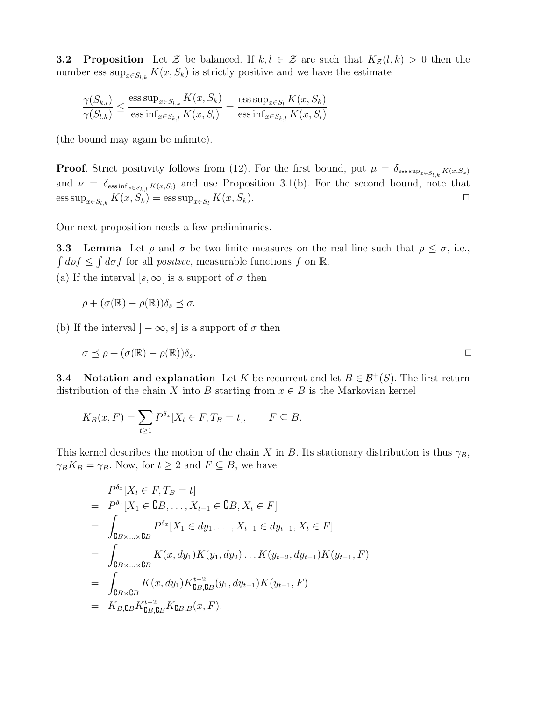**3.2 Proposition** Let Z be balanced. If  $k, l \in \mathcal{Z}$  are such that  $K_{\mathcal{Z}}(l, k) > 0$  then the number ess  $\sup_{x \in S_{l,k}} K(x, S_k)$  is strictly positive and we have the estimate

$$
\frac{\gamma(S_{k,l})}{\gamma(S_{l,k})} \le \frac{\operatorname{ess} \sup_{x \in S_{l,k}} K(x, S_k)}{\operatorname{ess} \inf_{x \in S_{k,l}} K(x, S_l)} = \frac{\operatorname{ess} \sup_{x \in S_l} K(x, S_k)}{\operatorname{ess} \inf_{x \in S_{k,l}} K(x, S_l)}
$$

(the bound may again be infinite).

**Proof.** Strict positivity follows from (12). For the first bound, put  $\mu = \delta_{\text{ess sup}_{x \in S_{l,k}} K(x, S_k)}$ and  $\nu = \delta_{\text{ess inf}_{x \in S_{k,l}} K(x, S_l)}$  and use Proposition 3.1(b). For the second bound, note that  $\text{ess sup}_{x \in S_{l,k}} K(x, S_k) = \text{ess sup}_{x \in S_l} K(x, S_k).$   $\Box$ 

Our next proposition needs a few preliminaries.

**3.3** Lemma Let  $\rho$  and  $\sigma$  be two finite measures on the real line such that  $\rho \leq \sigma$ , i.e.,  $\int d\rho f \leq \int d\sigma f$  for all *positive*, measurable functions f on R. (a) If the interval  $[s, \infty]$  is a support of  $\sigma$  then

$$
\rho + (\sigma(\mathbb{R}) - \rho(\mathbb{R}))\delta_s \preceq \sigma.
$$

(b) If the interval  $]-\infty, s]$  is a support of  $\sigma$  then

$$
\sigma \preceq \rho + (\sigma(\mathbb{R}) - \rho(\mathbb{R}))\delta_s.
$$

**3.4** Notation and explanation Let K be recurrent and let  $B \in \mathcal{B}^+(S)$ . The first return distribution of the chain X into B starting from  $x \in B$  is the Markovian kernel

$$
K_B(x, F) = \sum_{t \ge 1} P^{\delta_x} [X_t \in F, T_B = t], \qquad F \subseteq B.
$$

This kernel describes the motion of the chain X in B. Its stationary distribution is thus  $\gamma_B$ ,  $\gamma_B K_B = \gamma_B$ . Now, for  $t \geq 2$  and  $F \subseteq B$ , we have

$$
P^{\delta_x}[X_t \in F, T_B = t]
$$
  
=  $P^{\delta_x}[X_1 \in \mathbb{C}B, \dots, X_{t-1} \in \mathbb{C}B, X_t \in F]$   
=  $\int_{\mathbb{C}B \times \dots \times \mathbb{C}B} P^{\delta_x}[X_1 \in dy_1, \dots, X_{t-1} \in dy_{t-1}, X_t \in F]$   
=  $\int_{\mathbb{C}B \times \dots \times \mathbb{C}B} K(x, dy_1)K(y_1, dy_2) \dots K(y_{t-2}, dy_{t-1})K(y_{t-1}, F)$   
=  $\int_{\mathbb{C}B \times \mathbb{C}B} K(x, dy_1) K_{\mathbb{C}B, \mathbb{C}B}^{\star-2}(y_1, dy_{t-1})K(y_{t-1}, F)$   
=  $K_{B, \mathbb{C}B} K_{\mathbb{C}B, \mathbb{C}B}^{\star-2} K_{\mathbb{C}B, B}(x, F).$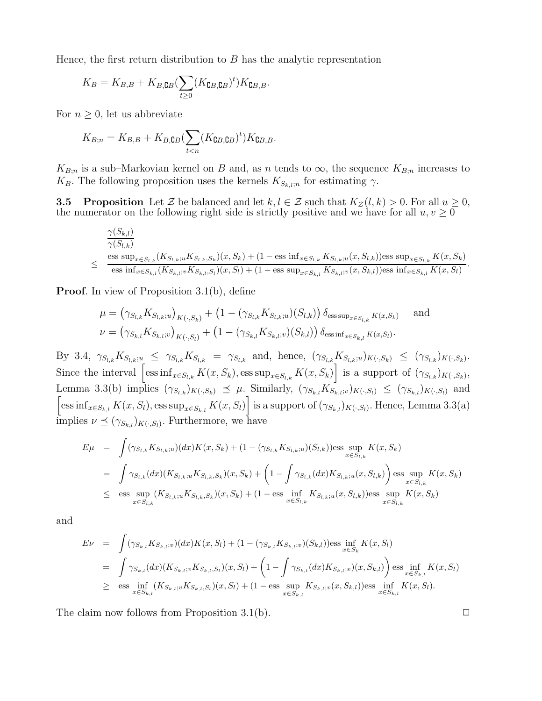Hence, the first return distribution to  $B$  has the analytic representation

$$
K_B = K_{B,B} + K_{B,\mathbf{C}B} (\sum_{t \ge 0} (K_{\mathbf{C}B,\mathbf{C}B})^t) K_{\mathbf{C}B,B}.
$$

For  $n \geq 0$ , let us abbreviate

$$
K_{B;n} = K_{B,B} + K_{B,\mathbf{C}B} (\sum_{t < n} (K_{\mathbf{C}B,\mathbf{C}B})^t) K_{\mathbf{C}B,B}.
$$

 $K_{B;n}$  is a sub–Markovian kernel on B and, as n tends to  $\infty$ , the sequence  $K_{B;n}$  increases to  $K_B$ . The following proposition uses the kernels  $K_{S_k,i,n}$  for estimating  $\gamma$ .

**3.5 Proposition** Let Z be balanced and let  $k, l \in \mathcal{Z}$  such that  $K_{\mathcal{Z}}(l, k) > 0$ . For all  $u \geq 0$ , the numerator on the following right side is strictly positive and we have for all  $u, v \geq 0$ 

$$
\frac{\gamma(S_{k,l})}{\gamma(S_{l,k})}
$$
\n
$$
\leq \frac{\text{ess sup}_{x \in S_{l,k}}(K_{S_{l,k};u}K_{S_{l,k},S_k})(x, S_k) + (1 - \text{ess inf}_{x \in S_{l,k}}K_{S_{l,k};u}(x, S_{l,k}))\text{ess sup}_{x \in S_{l,k}}K(x, S_k)}{\text{ess inf}_{x \in S_{k,l}}(K_{S_{k,l};v}K_{S_{k,l},S_l})(x, S_l) + (1 - \text{ess sup}_{x \in S_{k,l}}K_{S_{k,l};v}(x, S_{k,l}))\text{ess inf}_{x \in S_{k,l}}K(x, S_l)}
$$

Proof. In view of Proposition 3.1(b), define

$$
\mu = (\gamma_{S_{l,k}} K_{S_{l,k};u})_{K(\cdot, S_k)} + (1 - (\gamma_{S_{l,k}} K_{S_{l,k};u})(S_{l,k})) \delta_{\text{ess sup}_{x \in S_{l,k}} K(x, S_k)} \quad \text{and}
$$
  

$$
\nu = (\gamma_{S_{k,l}} K_{S_{k,l};v})_{K(\cdot, S_l)} + (1 - (\gamma_{S_{k,l}} K_{S_{k,l};v})(S_{k,l})) \delta_{\text{ess inf}_{x \in S_{k,l}} K(x, S_l)}.
$$

By 3.4,  $\gamma_{S_{l,k}} K_{S_{l,k};u} \leq \gamma_{S_{l,k}} K_{S_{l,k}} = \gamma_{S_{l,k}}$  and, hence,  $(\gamma_{S_{l,k}} K_{S_{l,k};u})_{K(\cdot,S_k)} \leq (\gamma_{S_{l,k}})_{K(\cdot,S_k)}$ . Since the interval  $\left[\text{ess inf}_{x \in S_{l,k}} K(x, S_k), \text{ess sup}_{x \in S_{l,k}} K(x, S_k)\right]$  is a support of  $(\gamma_{S_{l,k}})_{K(\cdot, S_k)}$ , Lemma 3.3(b) implies  $(\gamma_{S_{l,k}})_{K(\cdot,S_k)} \preceq \mu$ . Similarly,  $(\gamma_{S_{k,l}} K_{S_{k,l};v})_{K(\cdot,S_l)} \leq (\gamma_{S_{k,l}})_{K(\cdot,S_l)}$  and  $\left[\text{ess inf}_{x \in S_{k,l}} K(x, S_l), \text{ess sup}_{x \in S_{k,l}} K(x, S_l)\right]$  is a support of  $(\gamma_{S_{k,l}})_{K(\cdot, S_l)}$ . Hence, Lemma 3.3(a) implies  $\nu \preceq (\gamma_{S_{k,l}})_{K(\cdot,S_l)}$ . Furthermore, we have

$$
E\mu = \int (\gamma_{S_{l,k}} K_{S_{l,k};u})(dx)K(x, S_k) + (1 - (\gamma_{S_{l,k}} K_{S_{l,k};u})(S_{l,k})) \text{ess} \sup_{x \in S_{l,k}} K(x, S_k)
$$
  
\n
$$
= \int \gamma_{S_{l,k}}(dx)(K_{S_{l,k};u} K_{S_{l,k},S_k})(x, S_k) + \left(1 - \int \gamma_{S_{l,k}}(dx) K_{S_{l,k};u}(x, S_{l,k})\right) \text{ess} \sup_{x \in S_{l,k}} K(x, S_k)
$$
  
\n
$$
\leq \text{ess} \sup_{x \in S_{l,k}} (K_{S_{l,k};u} K_{S_{l,k},S_k})(x, S_k) + (1 - \text{ess} \inf_{x \in S_{l,k}} K_{S_{l,k};u}(x, S_{l,k})) \text{ess} \sup_{x \in S_{l,k}} K(x, S_k)
$$

and

$$
E\nu = \int (\gamma_{S_{k,l}} K_{S_{k,l};v})(dx)K(x, S_l) + (1 - (\gamma_{S_{k,l}} K_{S_{k,l};v})(S_{k,l})) \text{ess} \inf_{x \in S_k} K(x, S_l)
$$
  
\n
$$
= \int \gamma_{S_{k,l}}(dx)(K_{S_{k,l};v} K_{S_{k,l},S_l})(x, S_l) + \left(1 - \int \gamma_{S_{k,l}}(dx)K_{S_{k,l};v})(x, S_{k,l})\right) \text{ess} \inf_{x \in S_{k,l}} K(x, S_l)
$$
  
\n
$$
\geq \text{ess} \inf_{x \in S_{k,l}} (K_{S_{k,l};v} K_{S_{k,l},S_l})(x, S_l) + (1 - \text{ess} \sup_{x \in S_{k,l}} K_{S_{k,l};v}(x, S_{k,l})) \text{ess} \inf_{x \in S_{k,l}} K(x, S_l).
$$

The claim now follows from Proposition 3.1(b).  $\square$ 

.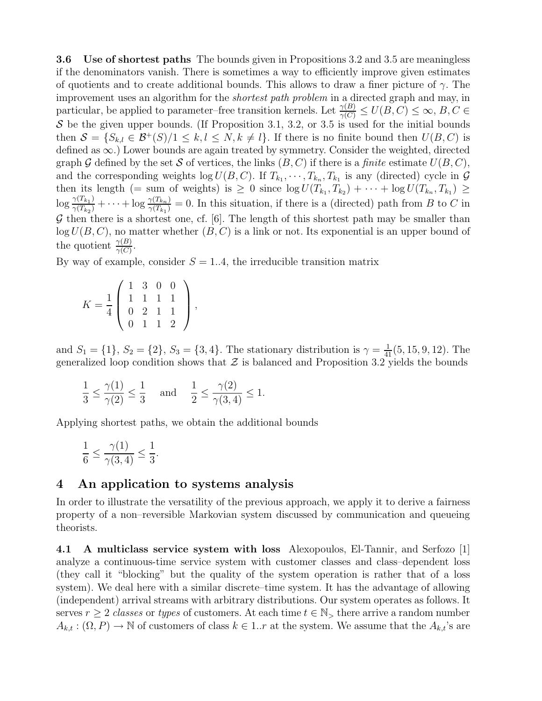3.6 Use of shortest paths The bounds given in Propositions 3.2 and 3.5 are meaningless if the denominators vanish. There is sometimes a way to efficiently improve given estimates of quotients and to create additional bounds. This allows to draw a finer picture of  $\gamma$ . The improvement uses an algorithm for the shortest path problem in a directed graph and may, in particular, be applied to parameter–free transition kernels. Let  $\frac{\gamma(B)}{\gamma(C)} \le U(B, C) \le \infty$ ,  $B, C \in$ S be the given upper bounds. (If Proposition 3.1, 3.2, or 3.5 is used for the initial bounds then  $S = \{S_{k,l} \in \mathcal{B}^+(S)/1 \leq k, l \leq N, k \neq l\}$ . If there is no finite bound then  $U(B, C)$  is defined as ∞.) Lower bounds are again treated by symmetry. Consider the weighted, directed graph G defined by the set S of vertices, the links  $(B, C)$  if there is a finite estimate  $U(B, C)$ , and the corresponding weights  $\log U(B, C)$ . If  $T_{k_1}, \dots, T_{k_n}, T_{k_1}$  is any (directed) cycle in  $\mathcal G$ then its length (= sum of weights) is  $\geq 0$  since  $\log U(T_{k_1}, T_{k_2}) + \cdots + \log U(T_{k_n}, T_{k_1}) \geq$  $\log \frac{\gamma(T_{k_1})}{\gamma(T_{k_1})}$  $\frac{\gamma(T_{k_1})}{\gamma(T_{k_2})} + \cdots + \log \frac{\gamma(T_{k_n})}{\gamma(T_{k_1})}$  $\frac{\gamma(I_{k_n})}{\gamma(T_{k_1})} = 0$ . In this situation, if there is a (directed) path from B to C in  $G$  then there is a shortest one, cf. [6]. The length of this shortest path may be smaller than  $log U(B, C)$ , no matter whether  $(B, C)$  is a link or not. Its exponential is an upper bound of the quotient  $\frac{\gamma(B)}{\gamma(C)}$ .

By way of example, consider  $S = 1.4$ , the irreducible transition matrix

$$
K = \frac{1}{4} \left( \begin{array}{rrrr} 1 & 3 & 0 & 0 \\ 1 & 1 & 1 & 1 \\ 0 & 2 & 1 & 1 \\ 0 & 1 & 1 & 2 \end{array} \right),
$$

and  $S_1 = \{1\}$ ,  $S_2 = \{2\}$ ,  $S_3 = \{3, 4\}$ . The stationary distribution is  $\gamma = \frac{1}{41}(5, 15, 9, 12)$ . The generalized loop condition shows that  $\mathcal Z$  is balanced and Proposition 3.2 yields the bounds

$$
\frac{1}{3} \le \frac{\gamma(1)}{\gamma(2)} \le \frac{1}{3} \quad \text{ and } \quad \frac{1}{2} \le \frac{\gamma(2)}{\gamma(3, 4)} \le 1.
$$

Applying shortest paths, we obtain the additional bounds

$$
\frac{1}{6} \le \frac{\gamma(1)}{\gamma(3,4)} \le \frac{1}{3}.
$$

# 4 An application to systems analysis

In order to illustrate the versatility of the previous approach, we apply it to derive a fairness property of a non–reversible Markovian system discussed by communication and queueing theorists.

4.1 A multiclass service system with loss Alexopoulos, El-Tannir, and Serfozo [1] analyze a continuous-time service system with customer classes and class–dependent loss (they call it "blocking" but the quality of the system operation is rather that of a loss system). We deal here with a similar discrete–time system. It has the advantage of allowing (independent) arrival streams with arbitrary distributions. Our system operates as follows. It serves  $r \geq 2$  classes or types of customers. At each time  $t \in \mathbb{N}_{>}$  there arrive a random number  $A_{k,t} : (\Omega, P) \to \mathbb{N}$  of customers of class  $k \in 1..r$  at the system. We assume that the  $A_{k,t}$ 's are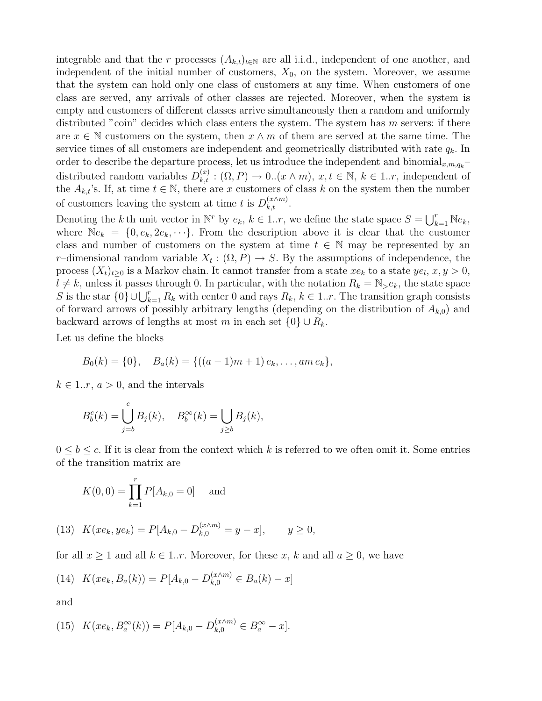integrable and that the r processes  $(A_{k,t})_{t\in\mathbb{N}}$  are all i.i.d., independent of one another, and independent of the initial number of customers,  $X_0$ , on the system. Moreover, we assume that the system can hold only one class of customers at any time. When customers of one class are served, any arrivals of other classes are rejected. Moreover, when the system is empty and customers of different classes arrive simultaneously then a random and uniformly distributed "coin" decides which class enters the system. The system has  $m$  servers: if there are  $x \in \mathbb{N}$  customers on the system, then  $x \wedge m$  of them are served at the same time. The service times of all customers are independent and geometrically distributed with rate  $q_k$ . In order to describe the departure process, let us introduce the independent and binomial<sub>x,m,qk</sub> $$ distributed random variables  $D_{k,t}^{(x)}$ :  $(\Omega, P) \to 0$ .  $(x \wedge m)$ ,  $x, t \in \mathbb{N}$ ,  $k \in 1..r$ , independent of the  $A_{k,t}$ 's. If, at time  $t \in \mathbb{N}$ , there are x customers of class k on the system then the number of customers leaving the system at time t is  $D_{k,t}^{(x\wedge m)}$ .

Denoting the k th unit vector in  $\mathbb{N}^r$  by  $e_k$ ,  $k \in 1..r$ , we define the state space  $S = \bigcup_{k=1}^r \mathbb{N}e_k$ , where  $\mathbb{N}e_k = \{0, e_k, 2e_k, \cdots\}$ . From the description above it is clear that the customer class and number of customers on the system at time  $t \in \mathbb{N}$  may be represented by an r-dimensional random variable  $X_t : (\Omega, P) \to S$ . By the assumptions of independence, the process  $(X_t)_{t\geq0}$  is a Markov chain. It cannot transfer from a state  $xe_k$  to a state  $ye_l$ ,  $x, y > 0$ ,  $l \neq k$ , unless it passes through 0. In particular, with the notation  $R_k = \mathbb{N}_{\geq k}$ , the state space S is the star  $\{0\} \cup \bigcup_{k=1}^r R_k$  with center 0 and rays  $R_k$ ,  $k \in 1..r$ . The transition graph consists of forward arrows of possibly arbitrary lengths (depending on the distribution of  $A_{k,0}$ ) and backward arrows of lengths at most m in each set  $\{0\} \cup R_k$ .

Let us define the blocks

$$
B_0(k) = \{0\},
$$
  $B_a(k) = \{((a-1)m+1)e_k,..., am e_k\},\$ 

 $k \in 1..r, a > 0$ , and the intervals

$$
B_b^c(k) = \bigcup_{j=b}^c B_j(k), \quad B_b^{\infty}(k) = \bigcup_{j \ge b} B_j(k),
$$

 $0 \leq b \leq c$ . If it is clear from the context which k is referred to we often omit it. Some entries of the transition matrix are

$$
K(0,0) = \prod_{k=1}^{r} P[A_{k,0} = 0]
$$
 and

(13) 
$$
K(xe_k, ye_k) = P[A_{k,0} - D_{k,0}^{(x \wedge m)} = y - x], \qquad y \ge 0,
$$

for all  $x \ge 1$  and all  $k \in 1..r$ . Moreover, for these x, k and all  $a \ge 0$ , we have

(14) 
$$
K(xe_k, B_a(k)) = P[A_{k,0} - D_{k,0}^{(x \wedge m)} \in B_a(k) - x]
$$

and

(15) 
$$
K(xe_k, B_a^{\infty}(k)) = P[A_{k,0} - D_{k,0}^{(x \wedge m)} \in B_a^{\infty} - x].
$$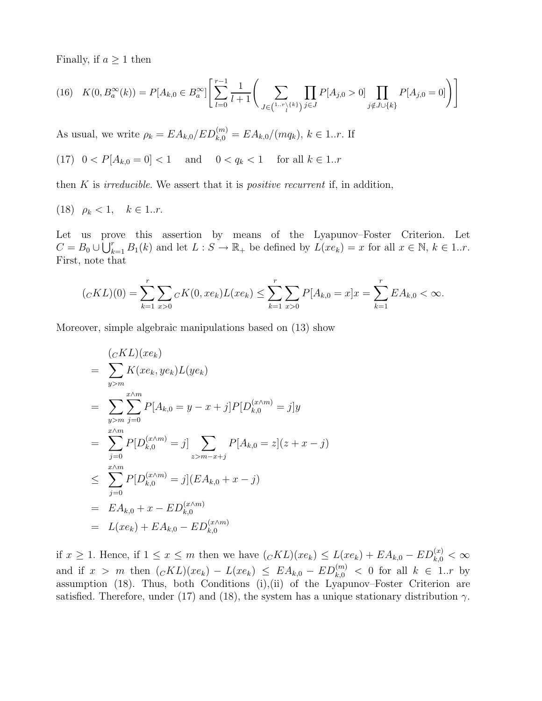Finally, if  $a \geq 1$  then

$$
(16)\quad K(0, B_a^{\infty}(k)) = P[A_{k,0} \in B_a^{\infty}] \Bigg[ \sum_{l=0}^{r-1} \frac{1}{l+1} \Bigg( \sum_{J \in \binom{1..r}{l} \{k\}} \prod_{j \in J} P[A_{j,0} > 0] \prod_{j \notin J \cup \{k\}} P[A_{j,0} = 0] \Bigg) \Bigg]
$$

As usual, we write  $\rho_k = E A_{k,0} / E D_{k,0}^{(m)} = E A_{k,0} / (m q_k), k \in 1..r$ . If

(17) 
$$
0 < P[A_{k,0} = 0] < 1
$$
 and  $0 < q_k < 1$  for all  $k \in 1..r$ 

then  $K$  is *irreducible*. We assert that it is *positive recurrent* if, in addition,

(18) 
$$
\rho_k < 1, \quad k \in 1..r.
$$

Let us prove this assertion by means of the Lyapunov–Foster Criterion. Let  $C = B_0 \cup \overline{\bigcup_{k=1}^r B_1(k)}$  and let  $L : S \to \mathbb{R}_+$  be defined by  $L(xe_k) = x$  for all  $x \in \mathbb{N}, k \in 1..r$ . First, note that

$$
(_{C}KL)(0) = \sum_{k=1}^{r} \sum_{x>0} {}_{C}K(0, x e_k) L(x e_k) \le \sum_{k=1}^{r} \sum_{x>0} P[A_{k,0} = x] x = \sum_{k=1}^{r} E A_{k,0} < \infty.
$$

Moreover, simple algebraic manipulations based on (13) show

$$
\begin{aligned}\n&\quad (cKL)(xe_k) \\
&= \sum_{y>m} K(xe_k, ye_k)L(ye_k) \\
&= \sum_{y>m} \sum_{j=0}^{x \wedge m} P[A_{k,0} = y - x + j] P[D_{k,0}^{(x \wedge m)} = j] y \\
&= \sum_{j=0}^{x \wedge m} P[D_{k,0}^{(x \wedge m)} = j] \sum_{z>m-x+j} P[A_{k,0} = z] (z + x - j) \\
&\le \sum_{j=0}^{x \wedge m} P[D_{k,0}^{(x \wedge m)} = j] (EA_{k,0} + x - j) \\
&= EA_{k,0} + x - ED_{k,0}^{(x \wedge m)} \\
&= L(xe_k) + EA_{k,0} - ED_{k,0}^{(x \wedge m)}\n\end{aligned}
$$

if  $x \ge 1$ . Hence, if  $1 \le x \le m$  then we have  $({}_CKL)(xe_k) \le L(xe_k) + EA_{k,0} - ED_{k,0}^{(x)} < \infty$ and if  $x > m$  then  $({}_CKL)(xe_k) - L(xe_k) \leq EA_{k,0} - ED_{k,0}^{(m)} < 0$  for all  $k \in 1..r$  by assumption (18). Thus, both Conditions (i),(ii) of the Lyapunov–Foster Criterion are satisfied. Therefore, under (17) and (18), the system has a unique stationary distribution  $\gamma$ .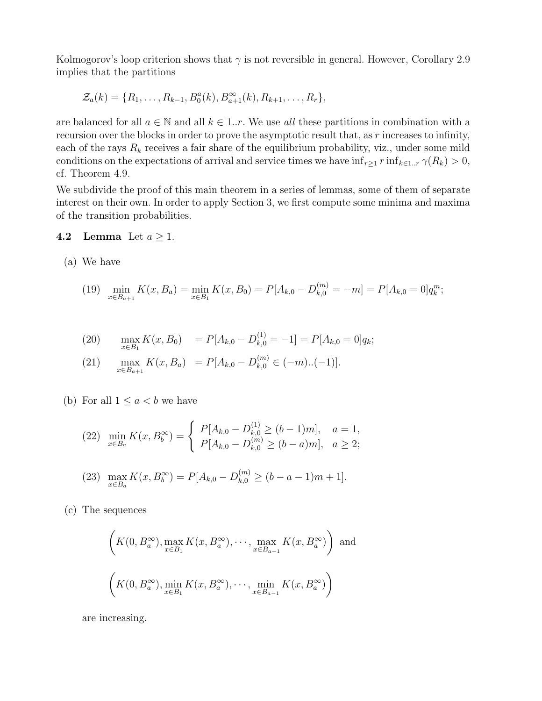Kolmogorov's loop criterion shows that  $\gamma$  is not reversible in general. However, Corollary 2.9 implies that the partitions

$$
\mathcal{Z}_a(k) = \{R_1, \ldots, R_{k-1}, B_0^a(k), B_{a+1}^{\infty}(k), R_{k+1}, \ldots, R_r\},\
$$

are balanced for all  $a \in \mathbb{N}$  and all  $k \in 1..r$ . We use all these partitions in combination with a recursion over the blocks in order to prove the asymptotic result that, as r increases to infinity, each of the rays  $R_k$  receives a fair share of the equilibrium probability, viz., under some mild conditions on the expectations of arrival and service times we have  $\inf_{r\geq 1} r \inf_{k\in 1..r} \gamma(R_k) > 0$ , cf. Theorem 4.9.

We subdivide the proof of this main theorem in a series of lemmas, some of them of separate interest on their own. In order to apply Section 3, we first compute some minima and maxima of the transition probabilities.

#### 4.2 Lemma Let  $a \geq 1$ .

(a) We have

(19) 
$$
\min_{x \in B_{a+1}} K(x, B_a) = \min_{x \in B_1} K(x, B_0) = P[A_{k,0} - D_{k,0}^{(m)} = -m] = P[A_{k,0} = 0]q_k^m;
$$

(20) 
$$
\max_{x \in B_1} K(x, B_0) = P[A_{k,0} - D_{k,0}^{(1)} = -1] = P[A_{k,0} = 0]q_k;
$$

(21) 
$$
\max_{x \in B_{a+1}} K(x, B_a) = P[A_{k,0} - D_{k,0}^{(m)} \in (-m)..(-1)].
$$

(b) For all  $1 \leq a < b$  we have

$$
(22) \quad \min_{x \in B_a} K(x, B_b^{\infty}) = \begin{cases} P[A_{k,0} - D_{k,0}^{(1)} \ge (b-1)m], & a = 1, \\ P[A_{k,0} - D_{k,0}^{(m)} \ge (b-a)m], & a \ge 2; \end{cases}
$$

(23) 
$$
\max_{x \in B_a} K(x, B_b^{\infty}) = P[A_{k,0} - D_{k,0}^{(m)} \ge (b - a - 1)m + 1].
$$

(c) The sequences

$$
\left(K(0, B_a^{\infty}), \max_{x \in B_1} K(x, B_a^{\infty}), \cdots, \max_{x \in B_{a-1}} K(x, B_a^{\infty})\right) \text{ and}
$$
  

$$
\left(K(0, B_a^{\infty}), \min_{x \in B_1} K(x, B_a^{\infty}), \cdots, \min_{x \in B_{a-1}} K(x, B_a^{\infty})\right)
$$

are increasing.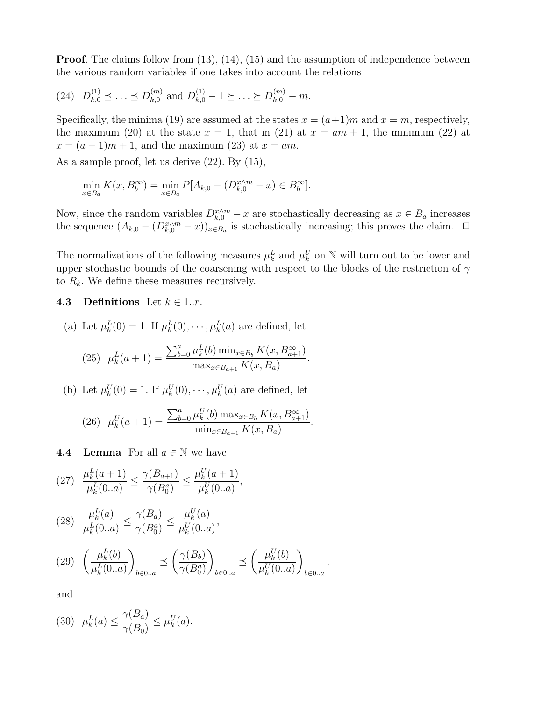Proof. The claims follow from (13), (14), (15) and the assumption of independence between the various random variables if one takes into account the relations

$$
(24) \quad D_{k,0}^{(1)} \preceq \ldots \preceq D_{k,0}^{(m)} \text{ and } D_{k,0}^{(1)} - 1 \succeq \ldots \succeq D_{k,0}^{(m)} - m.
$$

Specifically, the minima (19) are assumed at the states  $x = (a+1)m$  and  $x = m$ , respectively, the maximum (20) at the state  $x = 1$ , that in (21) at  $x = am + 1$ , the minimum (22) at  $x = (a-1)m+1$ , and the maximum (23) at  $x = am$ .

As a sample proof, let us derive (22). By (15),

$$
\min_{x \in B_a} K(x, B_b^{\infty}) = \min_{x \in B_a} P[A_{k,0} - (D_{k,0}^{x \wedge m} - x) \in B_b^{\infty}].
$$

Now, since the random variables  $D_{k,0}^{x\wedge m} - x$  are stochastically decreasing as  $x \in B_a$  increases the sequence  $(A_{k,0} - (D_{k,0}^{x \wedge m} - x))_{x \in B_a}$  is stochastically increasing; this proves the claim.  $\Box$ 

The normalizations of the following measures  $\mu_k^L$  and  $\mu_k^U$  on N will turn out to be lower and upper stochastic bounds of the coarsening with respect to the blocks of the restriction of  $\gamma$ to  $R_k$ . We define these measures recursively.

4.3 Definitions Let  $k \in 1..r$ .

(a) Let 
$$
\mu_k^L(0) = 1
$$
. If  $\mu_k^L(0), \dots, \mu_k^L(a)$  are defined, let

(25) 
$$
\mu_k^L(a+1) = \frac{\sum_{b=0}^a \mu_k^L(b) \min_{x \in B_b} K(x, B_{a+1}^{\infty})}{\max_{x \in B_{a+1}} K(x, B_a)}.
$$

(b) Let  $\mu_k^U(0) = 1$ . If  $\mu_k^U(0), \dots, \mu_k^U(a)$  are defined, let

(26) 
$$
\mu_k^U(a+1) = \frac{\sum_{b=0}^a \mu_k^U(b) \max_{x \in B_b} K(x, B_{a+1}^{\infty})}{\min_{x \in B_{a+1}} K(x, B_a)}.
$$

**4.4 Lemma** For all  $a \in \mathbb{N}$  we have

$$
(27) \frac{\mu_k^L(a+1)}{\mu_k^L(0.a)} \le \frac{\gamma(B_{a+1})}{\gamma(B_0^a)} \le \frac{\mu_k^U(a+1)}{\mu_k^U(0.a)},
$$

$$
(28) \frac{\mu_k^L(a)}{\mu_k^L(0..a)} \le \frac{\gamma(B_a)}{\gamma(B_0^a)} \le \frac{\mu_k^U(a)}{\mu_k^U(0..a)},
$$

$$
(29) \quad \left(\frac{\mu_k^L(b)}{\mu_k^L(0..a)}\right)_{b \in 0..a} \preceq \left(\frac{\gamma(B_b)}{\gamma(B_0^a)}\right)_{b \in 0..a} \preceq \left(\frac{\mu_k^U(b)}{\mu_k^U(0..a)}\right)_{b \in 0..a},
$$

and

$$
(30) \ \mu_k^L(a) \le \frac{\gamma(B_a)}{\gamma(B_0)} \le \mu_k^U(a).
$$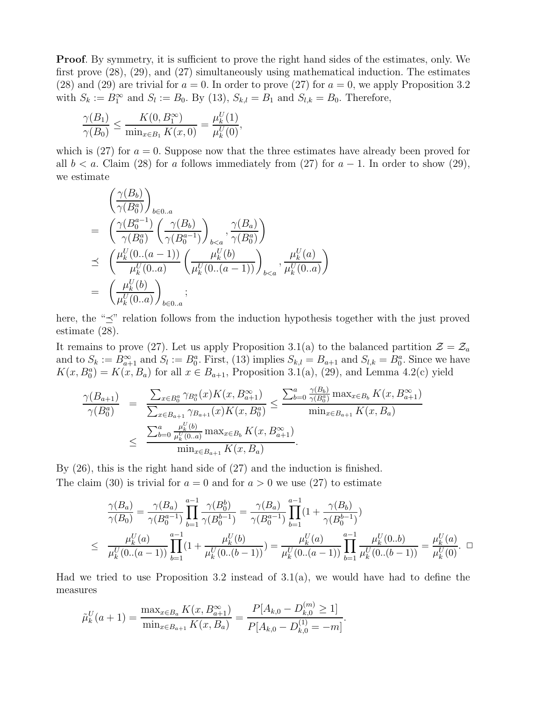Proof. By symmetry, it is sufficient to prove the right hand sides of the estimates, only. We first prove (28), (29), and (27) simultaneously using mathematical induction. The estimates (28) and (29) are trivial for  $a = 0$ . In order to prove (27) for  $a = 0$ , we apply Proposition 3.2 with  $S_k := B_1^{\infty}$  and  $S_l := B_0$ . By (13),  $S_{k,l} = B_1$  and  $S_{l,k} = B_0$ . Therefore,

$$
\frac{\gamma(B_1)}{\gamma(B_0)} \le \frac{K(0, B_1^{\infty})}{\min_{x \in B_1} K(x, 0)} = \frac{\mu_k^U(1)}{\mu_k^U(0)},
$$

which is (27) for  $a = 0$ . Suppose now that the three estimates have already been proved for all  $b < a$ . Claim (28) for a follows immediately from (27) for  $a - 1$ . In order to show (29), we estimate

$$
\begin{split}\n&\left(\frac{\gamma(B_b)}{\gamma(B_0^a)}\right)_{b\in 0..a} \\
&= \left(\frac{\gamma(B_0^{a-1})}{\gamma(B_0^a)} \left(\frac{\gamma(B_b)}{\gamma(B_0^{a-1})}\right)_{b
$$

here, the " $\preceq$ " relation follows from the induction hypothesis together with the just proved estimate (28).

It remains to prove (27). Let us apply Proposition 3.1(a) to the balanced partition  $\mathcal{Z} = \mathcal{Z}_a$ and to  $S_k := B_{a+1}^{\infty}$  and  $S_l := B_0^a$ . First, (13) implies  $S_{k,l} = B_{a+1}$  and  $S_{l,k} = B_0^a$ . Since we have  $K(x, B_0^a) = K(x, B_a)$  for all  $x \in B_{a+1}$ , Proposition 3.1(a), (29), and Lemma 4.2(c) yield

$$
\frac{\gamma(B_{a+1})}{\gamma(B_0^a)} = \frac{\sum_{x \in B_0^a} \gamma_{B_0^a}(x) K(x, B_{a+1}^{\infty})}{\sum_{x \in B_{a+1}} \gamma_{B_{a+1}}(x) K(x, B_0^a)} \le \frac{\sum_{b=0}^a \frac{\gamma(B_b)}{\gamma(B_0^a)} \max_{x \in B_b} K(x, B_{a+1}^{\infty})}{\min_{x \in B_{a+1}} K(x, B_a)} \le \frac{\sum_{b=0}^a \frac{\mu_k^U(b)}{\mu_k^U(0 \dots a)} \max_{x \in B_b} K(x, B_{a+1}^{\infty})}{\min_{x \in B_{a+1}} K(x, B_a)}.
$$

By (26), this is the right hand side of (27) and the induction is finished. The claim (30) is trivial for  $a = 0$  and for  $a > 0$  we use (27) to estimate

$$
\frac{\gamma(B_a)}{\gamma(B_0)} = \frac{\gamma(B_a)}{\gamma(B_0^{a-1})} \prod_{b=1}^{a-1} \frac{\gamma(B_0^b)}{\gamma(B_0^{b-1})} = \frac{\gamma(B_a)}{\gamma(B_0^{a-1})} \prod_{b=1}^{a-1} (1 + \frac{\gamma(B_b)}{\gamma(B_0^{b-1})})
$$
\n
$$
\leq \frac{\mu_k^U(a)}{\mu_k^U(0...(a-1))} \prod_{b=1}^{a-1} (1 + \frac{\mu_k^U(b)}{\mu_k^U(0...(b-1))}) = \frac{\mu_k^U(a)}{\mu_k^U(0...(a-1))} \prod_{b=1}^{a-1} \frac{\mu_k^U(0.b)}{\mu_k^U(0.(b-1))} = \frac{\mu_k^U(a)}{\mu_k^U(0)}.
$$

Had we tried to use Proposition 3.2 instead of  $3.1(a)$ , we would have had to define the measures

$$
\tilde{\mu}_k^U(a+1) = \frac{\max_{x \in B_a} K(x, B_{a+1}^{\infty})}{\min_{x \in B_{a+1}} K(x, B_a)} = \frac{P[A_{k,0} - D_{k,0}^{(m)} \ge 1]}{P[A_{k,0} - D_{k,0}^{(1)} = -m]}.
$$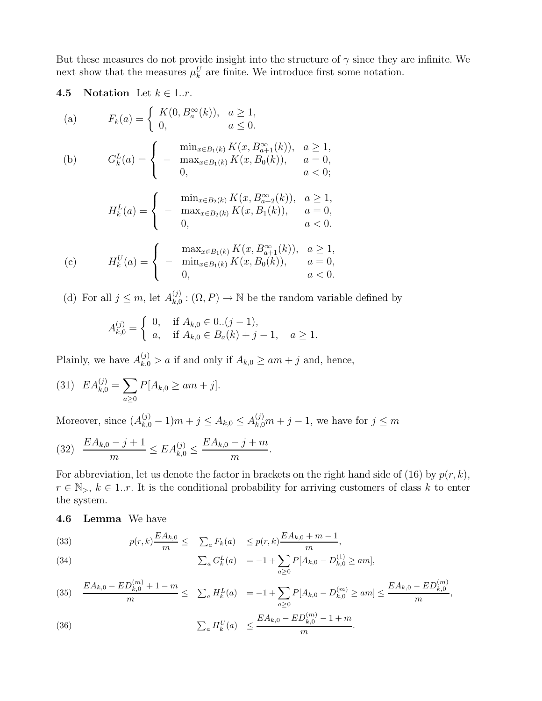But these measures do not provide insight into the structure of  $\gamma$  since they are infinite. We next show that the measures  $\mu_k^U$  are finite. We introduce first some notation.

## 4.5 Notation Let  $k \in 1..r$ .

(a) 
$$
F_k(a) = \begin{cases} K(0, B_a^{\infty}(k)), & a \ge 1, \\ 0, & a \le 0. \end{cases}
$$
  
\n(b) 
$$
G_k^L(a) = \begin{cases} \min_{x \in B_1(k)} K(x, B_{a+1}^{\infty}(k)), & a \ge 1, \\ -\max_{x \in B_1(k)} K(x, B_0(k)), & a = 0, \\ 0, & a < 0; \end{cases}
$$
  
\n
$$
H_k^L(a) = \begin{cases} \min_{x \in B_2(k)} K(x, B_{a+2}^{\infty}(k)), & a \ge 1, \\ -\max_{x \in B_2(k)} K(x, B_1(k)), & a = 0, \\ 0, & a < 0. \end{cases}
$$
  
\n
$$
\max_{x \in B_1(k)} K(x, B_{a+1}^{\infty}(k)), & a \ge 1,
$$

(c) 
$$
H_k^U(a) = \begin{cases} \max_{x \in B_1(k)} K(x, B_{a+1}^{\infty}(k)), & a \ge 1, \\ -\min_{x \in B_1(k)} K(x, B_0(k)), & a = 0, \\ 0, & a < 0. \end{cases}
$$

(d) For all  $j \leq m$ , let  $A_{k,0}^{(j)}$  $\chi_{k,0}^{(j)} : (\Omega, P) \to \mathbb{N}$  be the random variable defined by

$$
A_{k,0}^{(j)} = \begin{cases} 0, & \text{if } A_{k,0} \in 0..(j-1), \\ a, & \text{if } A_{k,0} \in B_a(k) + j - 1, \quad a \ge 1. \end{cases}
$$

Plainly, we have  $A_{k,0}^{(j)} > a$  if and only if  $A_{k,0} \ge am + j$  and, hence,

(31) 
$$
EA_{k,0}^{(j)} = \sum_{a \ge 0} P[A_{k,0} \ge am + j].
$$

Moreover, since  $(A_{k,0}^{(j)} - 1)m + j \le A_{k,0} \le A_{k,0}^{(j)}m + j - 1$ , we have for  $j \le m$ 

$$
(32) \quad \frac{EA_{k,0} - j + 1}{m} \le EA_{k,0}^{(j)} \le \frac{EA_{k,0} - j + m}{m}.
$$

For abbreviation, let us denote the factor in brackets on the right hand side of (16) by  $p(r, k)$ ,  $r \in \mathbb{N}_{>}, k \in 1..r$ . It is the conditional probability for arriving customers of class k to enter the system.

#### 4.6 Lemma We have

(33) 
$$
p(r,k)\frac{EA_{k,0}}{m} \leq \sum_{a} F_k(a) \leq p(r,k)\frac{EA_{k,0} + m - 1}{m},
$$

(34) 
$$
\sum_{a} G_{k}^{L}(a) = -1 + \sum_{a \geq 0} P[A_{k,0} - D_{k,0}^{(1)} \geq am],
$$

(35) 
$$
\frac{EA_{k,0} - ED_{k,0}^{(m)} + 1 - m}{m} \le \sum_a H_k^L(a) = -1 + \sum_{a \ge 0} P[A_{k,0} - D_{k,0}^{(m)} \ge am] \le \frac{EA_{k,0} - ED_{k,0}^{(m)}}{m},
$$
  

$$
\sum_a H_k^U(a) \le \frac{EA_{k,0} - ED_{k,0}^{(m)} - 1 + m}{m}.
$$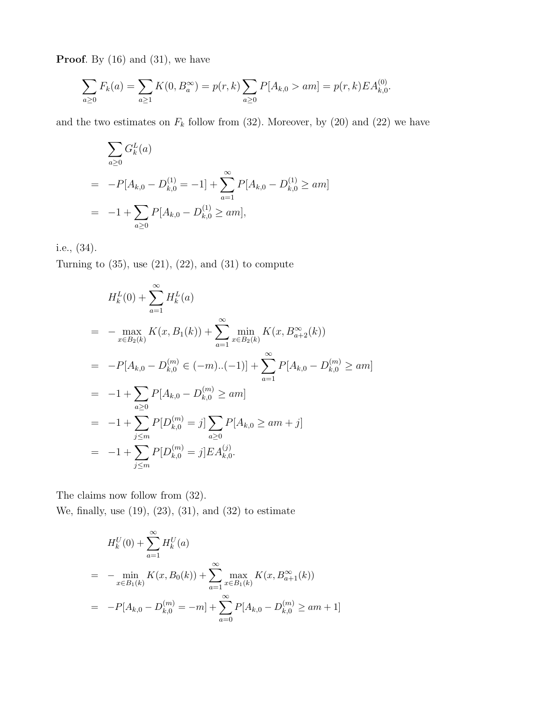**Proof.** By  $(16)$  and  $(31)$ , we have

$$
\sum_{a\geq 0} F_k(a) = \sum_{a\geq 1} K(0, B_a^{\infty}) = p(r, k) \sum_{a\geq 0} P[A_{k,0} > am] = p(r, k) E A_{k,0}^{(0)}.
$$

and the two estimates on  $F_k$  follow from (32). Moreover, by (20) and (22) we have

$$
\sum_{a\geq 0} G_k^L(a)
$$
  
=  $-P[A_{k,0} - D_{k,0}^{(1)} = -1] + \sum_{a=1}^{\infty} P[A_{k,0} - D_{k,0}^{(1)} \geq am]$   
=  $-1 + \sum_{a\geq 0} P[A_{k,0} - D_{k,0}^{(1)} \geq am],$ 

i.e., (34).

Turning to  $(35)$ , use  $(21)$ ,  $(22)$ , and  $(31)$  to compute

$$
H_k^L(0) + \sum_{a=1}^{\infty} H_k^L(a)
$$
  
=  $-\max_{x \in B_2(k)} K(x, B_1(k)) + \sum_{a=1}^{\infty} \min_{x \in B_2(k)} K(x, B_{a+2}^{\infty}(k))$   
=  $-P[A_{k,0} - D_{k,0}^{(m)} \in (-m).(-1)] + \sum_{a=1}^{\infty} P[A_{k,0} - D_{k,0}^{(m)} \ge am]$   
=  $-1 + \sum_{a \ge 0} P[A_{k,0} - D_{k,0}^{(m)} \ge am]$   
=  $-1 + \sum_{j \le m} P[D_{k,0}^{(m)} = j] \sum_{a \ge 0} P[A_{k,0} \ge am + j]$   
=  $-1 + \sum_{j \le m} P[D_{k,0}^{(m)} = j]EA_{k,0}^{(j)}$ .

The claims now follow from  $(32)$ . We, finally, use  $(19)$ ,  $(23)$ ,  $(31)$ , and  $(32)$  to estimate

$$
H_k^U(0) + \sum_{a=1}^{\infty} H_k^U(a)
$$
  
= 
$$
-\min_{x \in B_1(k)} K(x, B_0(k)) + \sum_{a=1}^{\infty} \max_{x \in B_1(k)} K(x, B_{a+1}^{\infty}(k))
$$
  
= 
$$
-P[A_{k,0} - D_{k,0}^{(m)} = -m] + \sum_{a=0}^{\infty} P[A_{k,0} - D_{k,0}^{(m)} \ge am + 1]
$$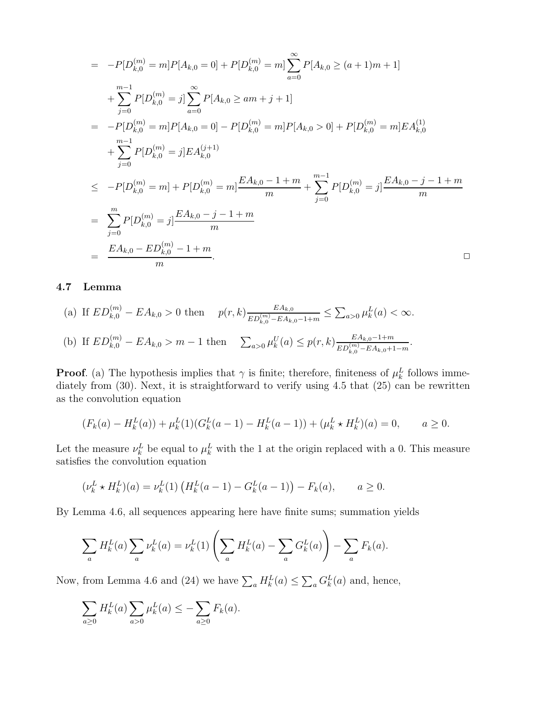$$
= -P[D_{k,0}^{(m)} = m]P[A_{k,0} = 0] + P[D_{k,0}^{(m)} = m] \sum_{a=0}^{\infty} P[A_{k,0} \ge (a+1)m+1]
$$
  
+ 
$$
\sum_{j=0}^{m-1} P[D_{k,0}^{(m)} = j] \sum_{a=0}^{\infty} P[A_{k,0} \ge am+j+1]
$$
  
= 
$$
-P[D_{k,0}^{(m)} = m]P[A_{k,0} = 0] - P[D_{k,0}^{(m)} = m]P[A_{k,0} > 0] + P[D_{k,0}^{(m)} = m]EA_{k,0}^{(1)}
$$
  
+ 
$$
\sum_{j=0}^{m-1} P[D_{k,0}^{(m)} = j]EA_{k,0}^{(j+1)}
$$
  

$$
\le -P[D_{k,0}^{(m)} = m] + P[D_{k,0}^{(m)} = m] \frac{EA_{k,0} - 1 + m}{m} + \sum_{j=0}^{m-1} P[D_{k,0}^{(m)} = j] \frac{EA_{k,0} - j - 1 + m}{m}
$$
  
= 
$$
\sum_{j=0}^{m} P[D_{k,0}^{(m)} = j] \frac{EA_{k,0} - j - 1 + m}{m}
$$
  
= 
$$
\frac{EA_{k,0} - ED_{k,0}^{(m)} - 1 + m}{m}.
$$

### 4.7 Lemma

(a) If 
$$
ED_{k,0}^{(m)} - EA_{k,0} > 0
$$
 then  $p(r, k) \frac{EA_{k,0}}{ED_{k,0}^{(m)} - EA_{k,0} - 1 + m} \le \sum_{a>0} \mu_k^L(a) < \infty$ .  
\n(b) If  $ED_{k,0}^{(m)} - EA_{k,0} > m - 1$  then  $\sum_{a>0} \mu_k^U(a) \le p(r, k) \frac{EA_{k,0} - 1 + m}{ED_{k,0}^{(m)} - EA_{k,0} + 1 - m}$ .

**Proof.** (a) The hypothesis implies that  $\gamma$  is finite; therefore, finiteness of  $\mu_k^L$  follows immediately from (30). Next, it is straightforward to verify using 4.5 that (25) can be rewritten as the convolution equation

$$
(F_k(a) - H_k^L(a)) + \mu_k^L(1)(G_k^L(a-1) - H_k^L(a-1)) + (\mu_k^L \star H_k^L)(a) = 0, \qquad a \ge 0.
$$

Let the measure  $\nu_k^L$  be equal to  $\mu_k^L$  with the 1 at the origin replaced with a 0. This measure satisfies the convolution equation

$$
(\nu_k^L \star H_k^L)(a) = \nu_k^L(1) \left( H_k^L(a-1) - G_k^L(a-1) \right) - F_k(a), \qquad a \ge 0.
$$

By Lemma 4.6, all sequences appearing here have finite sums; summation yields

$$
\sum_{a} H_{k}^{L}(a) \sum_{a} \nu_{k}^{L}(a) = \nu_{k}^{L}(1) \left( \sum_{a} H_{k}^{L}(a) - \sum_{a} G_{k}^{L}(a) \right) - \sum_{a} F_{k}(a).
$$

Now, from Lemma 4.6 and (24) we have  $\sum_a H_k^L(a) \leq \sum_a G_k^L(a)$  and, hence,

$$
\sum_{a\geq 0} H_k^L(a) \sum_{a>0} \mu_k^L(a) \leq -\sum_{a\geq 0} F_k(a).
$$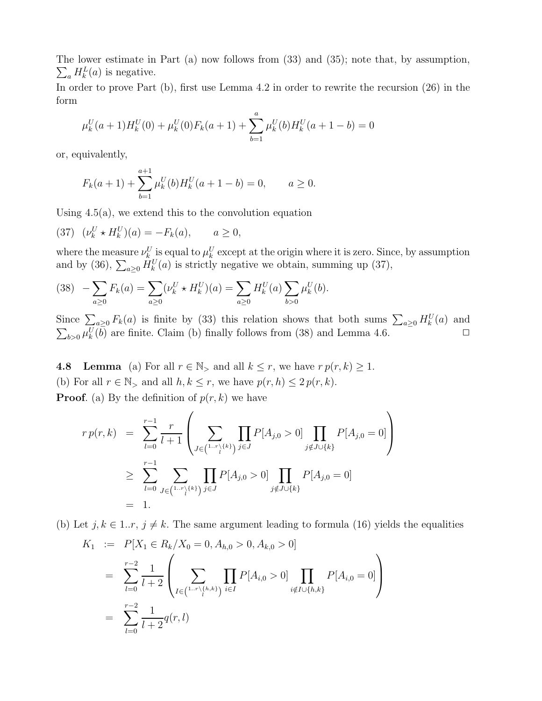The lower estimate in Part (a) now follows from (33) and (35); note that, by assumption,  $\sum_a H_k^L(a)$  is negative.

In order to prove Part (b), first use Lemma 4.2 in order to rewrite the recursion  $(26)$  in the form

$$
\mu_k^U(a+1)H_k^U(0) + \mu_k^U(0)F_k(a+1) + \sum_{b=1}^a \mu_k^U(b)H_k^U(a+1-b) = 0
$$

or, equivalently,

$$
F_k(a+1) + \sum_{b=1}^{a+1} \mu_k^U(b) H_k^U(a+1-b) = 0, \qquad a \ge 0.
$$

Using  $4.5(a)$ , we extend this to the convolution equation

(37) 
$$
(\nu_k^U * H_k^U)(a) = -F_k(a), \qquad a \ge 0,
$$

where the measure  $\nu_k^U$  is equal to  $\mu_k^U$  except at the origin where it is zero. Since, by assumption and by (36),  $\sum_{a\geq 0} H_k^U(a)$  is strictly negative we obtain, summing up (37),

$$
(38) \quad -\sum_{a\geq 0} F_k(a) = \sum_{a\geq 0} (\nu_k^U \star H_k^U)(a) = \sum_{a\geq 0} H_k^U(a) \sum_{b>0} \mu_k^U(b).
$$

Since  $\sum_{a\geq 0} F_k(a)$  is finite by (33) this relation shows that both sums  $\sum_{a\geq 0} H_k^U(a)$  and  $\sum_{b>0} \mu_k^U(\overline{b})$  are finite. Claim (b) finally follows from (38) and Lemma 4.6.

**4.8** Lemma (a) For all  $r \in \mathbb{N}$ , and all  $k \leq r$ , we have  $r p(r, k) \geq 1$ . (b) For all  $r \in \mathbb{N}_>$  and all  $h, k \leq r$ , we have  $p(r, h) \leq 2 p(r, k)$ . **Proof.** (a) By the definition of  $p(r, k)$  we have

$$
r p(r,k) = \sum_{l=0}^{r-1} \frac{r}{l+1} \left( \sum_{J \in \binom{1-r}{l}} \prod_{j \in J} P[A_{j,0} > 0] \prod_{j \notin J \cup \{k\}} P[A_{j,0} = 0] \right)
$$
  
\n
$$
\geq \sum_{l=0}^{r-1} \sum_{J \in \binom{1-r}{l}} \prod_{j \in J} P[A_{j,0} > 0] \prod_{j \notin J \cup \{k\}} P[A_{j,0} = 0]
$$
  
\n
$$
= 1.
$$

(b) Let  $j, k \in 1..r, j \neq k$ . The same argument leading to formula (16) yields the equalities

$$
K_1 := P[X_1 \in R_k / X_0 = 0, A_{h,0} > 0, A_{k,0} > 0]
$$
  
= 
$$
\sum_{l=0}^{r-2} \frac{1}{l+2} \left( \sum_{I \in {1 \cdot r \setminus {h, k} \atop l} \atop l \in I} \prod_{i \in I} P[A_{i,0} > 0] \prod_{i \notin I \cup {h, k} \atop l \in I} P[A_{i,0} = 0] \right)
$$
  
= 
$$
\sum_{l=0}^{r-2} \frac{1}{l+2} q(r, l)
$$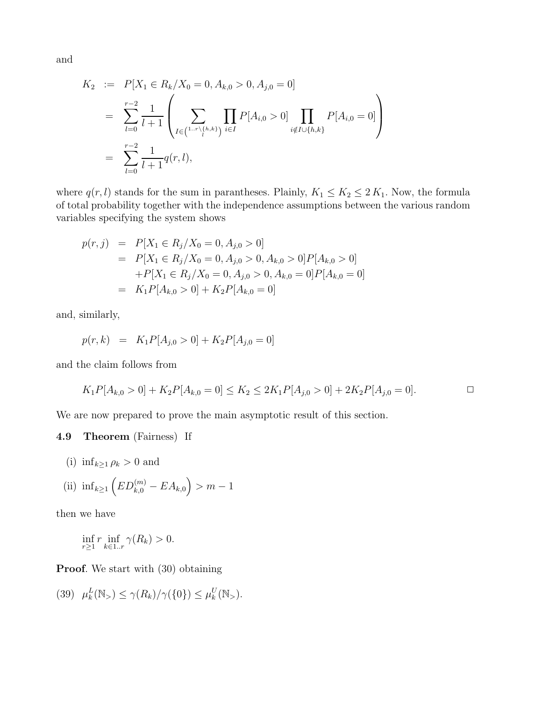and

$$
K_2 := P[X_1 \in R_k / X_0 = 0, A_{k,0} > 0, A_{j,0} = 0]
$$
  
= 
$$
\sum_{l=0}^{r-2} \frac{1}{l+1} \left( \sum_{I \in {1 \dots r \setminus {h,k}}} \prod_{j \in I} P[A_{i,0} > 0] \prod_{i \notin I \cup {h,k}} P[A_{i,0} = 0] \right)
$$
  
= 
$$
\sum_{l=0}^{r-2} \frac{1}{l+1} q(r,l),
$$

where  $q(r, l)$  stands for the sum in parantheses. Plainly,  $K_1 \leq K_2 \leq 2 K_1$ . Now, the formula of total probability together with the independence assumptions between the various random variables specifying the system shows

$$
p(r, j) = P[X_1 \in R_j / X_0 = 0, A_{j,0} > 0]
$$
  
=  $P[X_1 \in R_j / X_0 = 0, A_{j,0} > 0, A_{k,0} > 0] P[A_{k,0} > 0]$   
+ $P[X_1 \in R_j / X_0 = 0, A_{j,0} > 0, A_{k,0} = 0] P[A_{k,0} = 0]$   
=  $K_1 P[A_{k,0} > 0] + K_2 P[A_{k,0} = 0]$ 

and, similarly,

$$
p(r,k) = K_1 P[A_{j,0} > 0] + K_2 P[A_{j,0} = 0]
$$

and the claim follows from

$$
K_1 P[A_{k,0} > 0] + K_2 P[A_{k,0} = 0] \le K_2 \le 2K_1 P[A_{j,0} > 0] + 2K_2 P[A_{j,0} = 0].
$$

We are now prepared to prove the main asymptotic result of this section.

#### 4.9 Theorem (Fairness) If

(i)  $\inf_{k\geq 1} \rho_k > 0$  and

(ii) 
$$
\inf_{k \ge 1} \left( ED_{k,0}^{(m)} - EA_{k,0} \right) > m - 1
$$

then we have

$$
\inf_{r\geq 1} r \inf_{k\in 1..r} \gamma(R_k) > 0.
$$

Proof. We start with  $(30)$  obtaining

$$
(39) \quad \mu_k^L(\mathbb{N}_{>} ) \le \gamma(R_k)/\gamma(\{0\}) \le \mu_k^U(\mathbb{N}_{>} ).
$$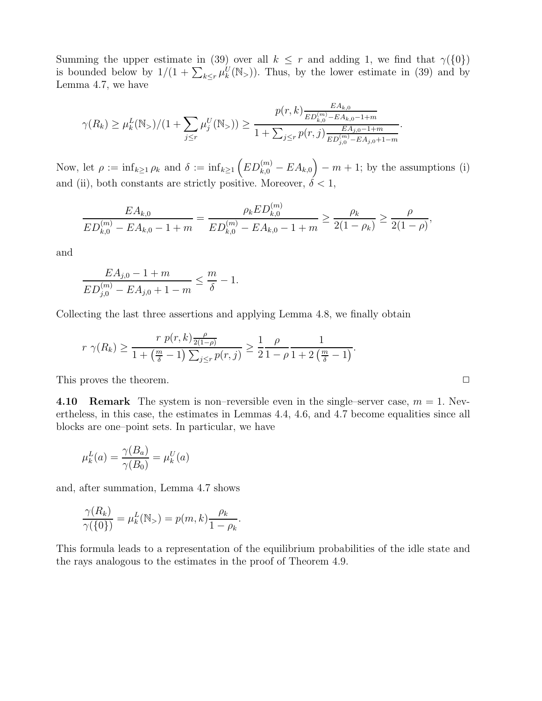Summing the upper estimate in (39) over all  $k \leq r$  and adding 1, we find that  $\gamma({0})$ is bounded below by  $1/(1 + \sum_{k \leq r} \mu_k^U(\mathbb{N}_>))$ . Thus, by the lower estimate in (39) and by Lemma 4.7, we have

$$
\gamma(R_k) \ge \mu_k^L(\mathbb{N}_>)/(1+\sum_{j\le r}\mu_j^U(\mathbb{N}_>)) \ge \frac{p(r,k)\frac{EA_{k,0}}{ED_{k,0}^{(m)}-EA_{k,0}-1+m}}{1+\sum_{j\le r}p(r,j)\frac{EA_{j,0}-1+m}{ED_{j,0}^{(m)}-EA_{j,0}+1-m}}.
$$

Now, let  $\rho := \inf_{k \geq 1} \rho_k$  and  $\delta := \inf_{k \geq 1} (ED_{k,0}^{(m)} - EA_{k,0}) - m + 1$ ; by the assumptions (i) and (ii), both constants are strictly positive. Moreover,  $\delta < 1$ ,

$$
\frac{EA_{k,0}}{ED_{k,0}^{(m)} - EA_{k,0} - 1 + m} = \frac{\rho_k ED_{k,0}^{(m)}}{ED_{k,0}^{(m)} - EA_{k,0} - 1 + m} \ge \frac{\rho_k}{2(1 - \rho_k)} \ge \frac{\rho}{2(1 - \rho)},
$$

and

$$
\frac{EA_{j,0} - 1 + m}{ED_{j,0}^{(m)} - EA_{j,0} + 1 - m} \le \frac{m}{\delta} - 1.
$$

Collecting the last three assertions and applying Lemma 4.8, we finally obtain

$$
r \gamma(R_k) \ge \frac{r \ p(r,k) \frac{\rho}{2(1-\rho)}}{1 + \left(\frac{m}{\delta} - 1\right) \sum_{j \le r} p(r,j)} \ge \frac{1}{2} \frac{\rho}{1 - \rho} \frac{1}{1 + 2\left(\frac{m}{\delta} - 1\right)}.
$$

This proves the theorem.  $\Box$ 

4.10 Remark The system is non–reversible even in the single–server case,  $m = 1$ . Nevertheless, in this case, the estimates in Lemmas 4.4, 4.6, and 4.7 become equalities since all blocks are one–point sets. In particular, we have

$$
\mu_k^L(a) = \frac{\gamma(B_a)}{\gamma(B_0)} = \mu_k^U(a)
$$

and, after summation, Lemma 4.7 shows

$$
\frac{\gamma(R_k)}{\gamma(\{0\})} = \mu_k^L(\mathbb{N}_{>}) = p(m,k)\frac{\rho_k}{1-\rho_k}.
$$

This formula leads to a representation of the equilibrium probabilities of the idle state and the rays analogous to the estimates in the proof of Theorem 4.9.